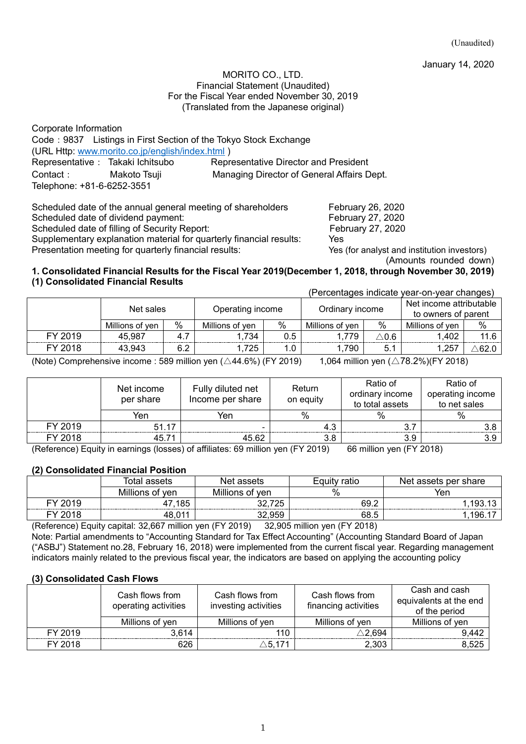January 14, 2020

#### MORITO CO., LTD. Financial Statement (Unaudited) For the Fiscal Year ended November 30, 2019 (Translated from the Japanese original)

| Corporate Information            |                                                 |                                                                  |
|----------------------------------|-------------------------------------------------|------------------------------------------------------------------|
|                                  |                                                 | Code: 9837 Listings in First Section of the Tokyo Stock Exchange |
|                                  | (URL Http: www.morito.co.jp/english/index.html) |                                                                  |
| Representative: Takaki Ichitsubo |                                                 | <b>Representative Director and President</b>                     |
| Contact: Makoto Tsuji            |                                                 | Managing Director of General Affairs Dept.                       |
| Telephone: +81-6-6252-3551       |                                                 |                                                                  |

Scheduled date of the annual general meeting of shareholders February 26, 2020 Scheduled date of dividend payment: February 27, 2020 Scheduled date of filling of Security Report: February 27, 2020 Supplementary explanation material for quarterly financial results: Yes Presentation meeting for quarterly financial results: Yes (for analyst and institution investors)

(Amounts rounded down)

#### **1. Consolidated Financial Results for the Fiscal Year 2019(December 1, 2018, through November 30, 2019) (1) Consolidated Financial Results** (Percentages indicate year-on-year changes)

|         |                 |     |                  |     |                 |                 | creditages indicate year-ori-year crianges     |               |
|---------|-----------------|-----|------------------|-----|-----------------|-----------------|------------------------------------------------|---------------|
|         | Net sales       |     | Operating income |     | Ordinary income |                 | Net income attributable<br>to owners of parent |               |
|         | Millions of ven | %   | Millions of ven  | %   | Millions of ven | $\%$            | Millions of ven                                | $\frac{0}{0}$ |
| FY 2019 | 45.987          | 4.7 | 1,734            | 0.5 | 1.779           | $^{\wedge}$ 0.6 | .402                                           | 11.6          |
| FY 2018 | 43.943          | 6.2 | 1,725            | 0.  | 1,790           | 5.              | 1,257                                          | ∆62.0         |

(Note) Comprehensive income : 589 million yen ( $\triangle 44.6\%$ ) (FY 2019) 1,064 million yen ( $\triangle 78.2\%$ )(FY 2018)

|         | Net income<br>per share | Fully diluted net<br>Income per share | Return<br>on equity | Ratio of<br>ordinary income<br>to total assets                                               | Ratio of<br>operating income<br>to net sales |
|---------|-------------------------|---------------------------------------|---------------------|----------------------------------------------------------------------------------------------|----------------------------------------------|
|         | Yen                     | ren                                   | %                   | %                                                                                            | %                                            |
| FY 2019 | 51.17                   |                                       | 4.3                 |                                                                                              |                                              |
| FY 2018 | 45.71                   | 45.62                                 | 3.8                 | 3.9                                                                                          |                                              |
|         |                         | $(Defenveze) \Gamma$                  |                     | $\overline{CD}$ mailling the $\overline{CD}$ $\overline{CD}$ $\overline{OD}$ $\overline{OD}$ |                                              |

(Reference) Equity in earnings (losses) of affiliates: 69 million yen (FY 2019) 66 million yen (FY 2018)

### **(2) Consolidated Financial Position**

| assets       | assets<br>Ne. | ratio                | per share<br>assets<br><b>Net</b> |
|--------------|---------------|----------------------|-----------------------------------|
| ver          | .<br>ven      | $\%$                 | Yen                               |
| <br>OE<br>oə | 70 F<br>∼     | ັດດ <i>≏</i><br>UJ.Z | $19^\circ$                        |
|              |               | 68.t                 | . 10P<br>. .                      |

(Reference) Equity capital: 32,667 million yen (FY 2019) 32,905 million yen (FY 2018) Note: Partial amendments to "Accounting Standard for Tax Effect Accounting" (Accounting Standard Board of Japan ("ASBJ") Statement no.28, February 16, 2018) were implemented from the current fiscal year. Regarding management indicators mainly related to the previous fiscal year, the indicators are based on applying the accounting policy

### **(3) Consolidated Cash Flows**

|         | Cash flows from<br>operating activities | Cash flows from<br>investing activities | Cash flows from<br>financing activities | Cash and cash<br>equivalents at the end<br>of the period |
|---------|-----------------------------------------|-----------------------------------------|-----------------------------------------|----------------------------------------------------------|
|         | Millions of yen                         | Millions of yen                         | Millions of ven                         | Millions of ven                                          |
| FY 2019 | 3.614                                   | 110.                                    | $\Delta$ 2.694                          | 9,442                                                    |
| FY 2018 | 626                                     | $\triangle$ 5.171                       | 2,303                                   | 8,525                                                    |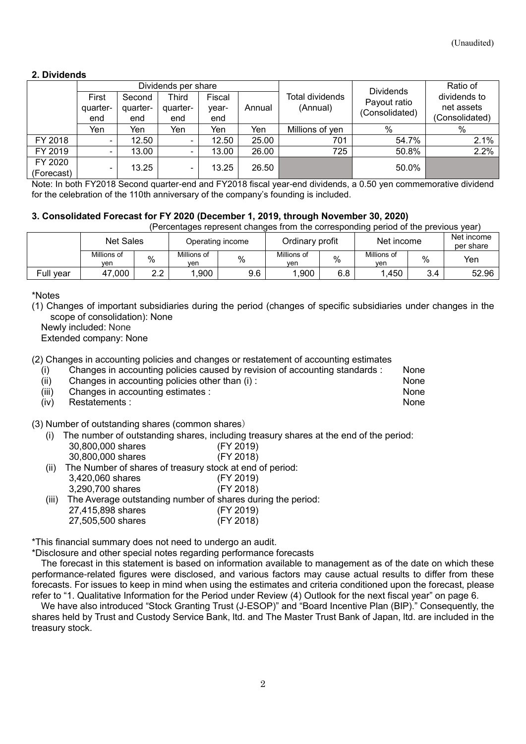### **2. Dividends**

|            | Dividends per share |          |          |        |        |                 | <b>Dividends</b> | Ratio of       |
|------------|---------------------|----------|----------|--------|--------|-----------------|------------------|----------------|
|            | First               | Second   | Third    | Fiscal |        | Total dividends | Payout ratio     | dividends to   |
|            | quarter-            | quarter- | quarter- | year-  | Annual | (Annual)        | (Consolidated)   |                |
|            | end                 | end      | end      | end    |        |                 |                  | (Consolidated) |
|            | Yen                 | Yen      | Yen      | Yen    | Yen    | Millions of yen | %                | %              |
| FY 2018    |                     | 12.50    |          | 12.50  | 25.00  | 701             | 54.7%            | 2.1%           |
| FY 2019    |                     | 13.00    |          | 13.00  | 26.00  | 725             | 50.8%            | 2.2%           |
| FY 2020    |                     | 13.25    |          | 13.25  | 26.50  |                 | 50.0%            |                |
| (Forecast) | ۰.                  |          | ۰        |        |        |                 |                  |                |

Note: In both FY2018 Second quarter-end and FY2018 fiscal year-end dividends, a 0.50 yen commemorative dividend for the celebration of the 110th anniversary of the company's founding is included.

### **3. Consolidated Forecast for FY 2020 (December 1, 2019, through November 30, 2020)**

(Percentages represent changes from the corresponding period of the previous year)

|           | <b>Net Sales</b>   |           | Operating income   |      | Ordinary profit    |      | Net income         |     | Net income<br>per share |
|-----------|--------------------|-----------|--------------------|------|--------------------|------|--------------------|-----|-------------------------|
|           | Millions of<br>ven | %         | Millions of<br>ven | $\%$ | Millions of<br>ven | $\%$ | Millions of<br>ven | %   | Yen                     |
| Full vear | ,000<br>47         | າາ<br>ے . | .900               | 9.6  | .900               | 6.8  | .450               | 3.4 | 52.96                   |

\*Notes

(1) Changes of important subsidiaries during the period (changes of specific subsidiaries under changes in the scope of consolidation): None

Newly included: None

Extended company: None

(2) Changes in accounting policies and changes or restatement of accounting estimates

|      | Changes in accounting policies caused by revision of accounting standards : | None |
|------|-----------------------------------------------------------------------------|------|
| (ii) | Changes in accounting policies other than (i):                              | None |

(iii) Changes in accounting estimates : None

(iv) Restatements : None

(3) Number of outstanding shares (common shares)

- (i) The number of outstanding shares, including treasury shares at the end of the period: 30,800,000 shares (FY 2019) 30,800,000 shares (FY 2018)
- (ii) The Number of shares of treasury stock at end of period:
- 3,420,060 shares (FY 2019)
	- 3,290,700 shares (FY 2018)
- (iii) The Average outstanding number of shares during the period:
	- 27,415,898 shares (FY 2019) 27,505,500 shares (FY 2018)

\*This financial summary does not need to undergo an audit.

\*Disclosure and other special notes regarding performance forecasts

The forecast in this statement is based on information available to management as of the date on which these performance-related figures were disclosed, and various factors may cause actual results to differ from these forecasts. For issues to keep in mind when using the estimates and criteria conditioned upon the forecast, please refer to "1. Qualitative Information for the Period under Review (4) Outlook for the next fiscal year" on page 6.

We have also introduced "Stock Granting Trust (J-ESOP)" and "Board Incentive Plan (BIP)." Consequently, the shares held by Trust and Custody Service Bank, ltd. and The Master Trust Bank of Japan, ltd. are included in the treasury stock.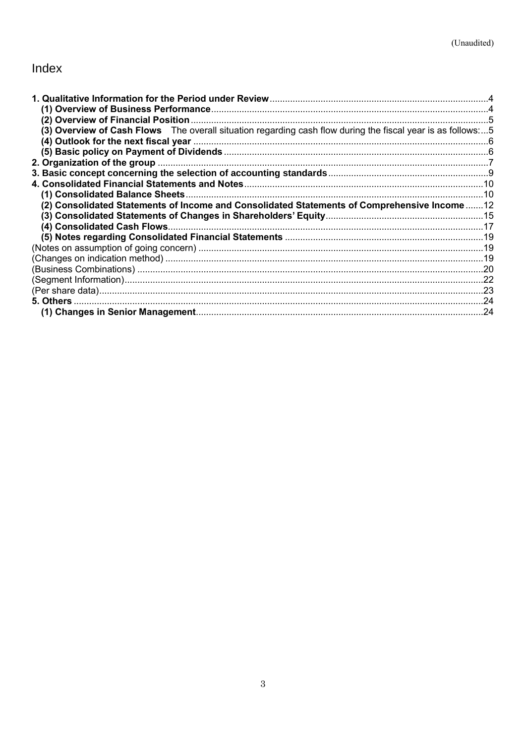# Index

| (3) Overview of Cash Flows The overall situation regarding cash flow during the fiscal year is as follows:5 |  |
|-------------------------------------------------------------------------------------------------------------|--|
|                                                                                                             |  |
|                                                                                                             |  |
|                                                                                                             |  |
|                                                                                                             |  |
|                                                                                                             |  |
|                                                                                                             |  |
| (2) Consolidated Statements of Income and Consolidated Statements of Comprehensive Income 12                |  |
|                                                                                                             |  |
|                                                                                                             |  |
|                                                                                                             |  |
|                                                                                                             |  |
|                                                                                                             |  |
|                                                                                                             |  |
|                                                                                                             |  |
|                                                                                                             |  |
|                                                                                                             |  |
|                                                                                                             |  |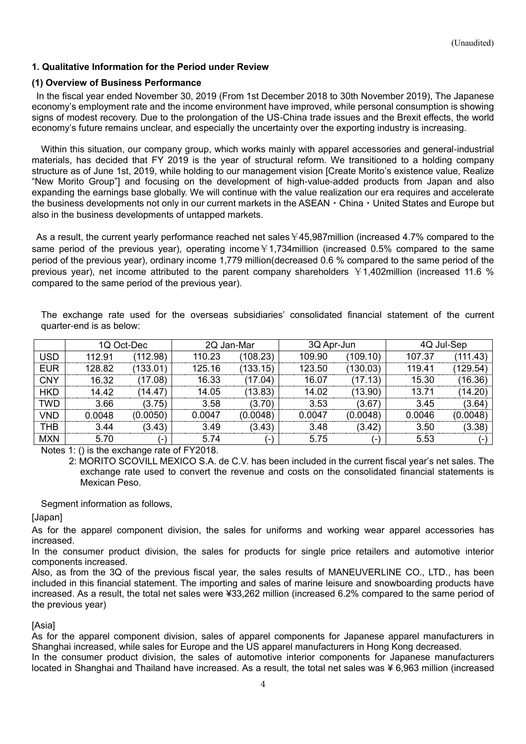### <span id="page-3-0"></span>**1. Qualitative Information for the Period under Review**

### <span id="page-3-1"></span>**(1) Overview of Business Performance**

In the fiscal year ended November 30, 2019 (From 1st December 2018 to 30th November 2019), The Japanese economy's employment rate and the income environment have improved, while personal consumption is showing signs of modest recovery. Due to the prolongation of the US-China trade issues and the Brexit effects, the world economy's future remains unclear, and especially the uncertainty over the exporting industry is increasing.

Within this situation, our company group, which works mainly with apparel accessories and general-industrial materials, has decided that FY 2019 is the year of structural reform. We transitioned to a holding company structure as of June 1st, 2019, while holding to our management vision [Create Morito's existence value, Realize "New Morito Group"] and focusing on the development of high-value-added products from Japan and also expanding the earnings base globally. We will continue with the value realization our era requires and accelerate the business developments not only in our current markets in the ASEAN・China・United States and Europe but also in the business developments of untapped markets.

As a result, the current yearly performance reached net sales  $445,987$ million (increased 4.7% compared to the same period of the previous year), operating income¥1,734million (increased 0.5% compared to the same period of the previous year), ordinary income 1,779 million(decreased 0.6 % compared to the same period of the previous year), net income attributed to the parent company shareholders ¥1,402million (increased 11.6 % compared to the same period of the previous year).

The exchange rate used for the overseas subsidiaries' consolidated financial statement of the current quarter-end is as below:

|            |        | 1Q Oct-Dec |        | 2Q Jan-Mar              | 3Q Apr-Jun |                |        | 4Q Jul-Sep |
|------------|--------|------------|--------|-------------------------|------------|----------------|--------|------------|
| JSD        | 112.91 | (112.98)   | 110.23 | (108.23)                | 109.90     | (109.10)       | 107.37 | 111.43)    |
| <b>EUR</b> | 128.82 | (133.01)   | 125.16 | (133.15)                | 123.50     | (130.03)       | 119.41 | 129.54     |
| <b>CNY</b> | 16.32  | 7.08)      | 16.33  | $\langle 17.04 \rangle$ | 16.07      | (17.13)        | 15.30  | 16.36)     |
| <b>HKD</b> | 14.42  | 14.47      | 14.05  | (13.83)                 | 14.02      | (13.90)        | 13.71  | (14.20)    |
| <b>TWD</b> | 3.66   | (3.75)     | 3.58   | (3.70)                  | 3.53       | (3.67          | 3.45   | (3.64)     |
| VND        | 0.0048 | (0.0050)   | 0 0047 | (0.0048)                | 0.0047     | (0.0048)       | 0.0046 | (0.0048)   |
| тнв        | 3.44   | (3.43)     | 3.49   | (3.43)                  | 3.48       | (3.42)         | 3.50   | (3.38)     |
| <b>MXN</b> | 5.70   |            | 5.74   | ٠                       | 5.75       | $\overline{ }$ | 5.53   |            |

Notes 1: () is the exchange rate of FY2018.

2: MORITO SCOVILL MEXICO S.A. de C.V. has been included in the current fiscal year's net sales. The exchange rate used to convert the revenue and costs on the consolidated financial statements is Mexican Peso.

Segment information as follows,

[Japan]

As for the apparel component division, the sales for uniforms and working wear apparel accessories has increased.

In the consumer product division, the sales for products for single price retailers and automotive interior components increased.

Also, as from the 3Q of the previous fiscal year, the sales results of MANEUVERLINE CO., LTD., has been included in this financial statement. The importing and sales of marine leisure and snowboarding products have increased. As a result, the total net sales were ¥33,262 million (increased 6.2% compared to the same period of the previous year)

### **[Asia]**

As for the apparel component division, sales of apparel components for Japanese apparel manufacturers in Shanghai increased, while sales for Europe and the US apparel manufacturers in Hong Kong decreased.

In the consumer product division, the sales of automotive interior components for Japanese manufacturers located in Shanghai and Thailand have increased. As a result, the total net sales was ¥ 6,963 million (increased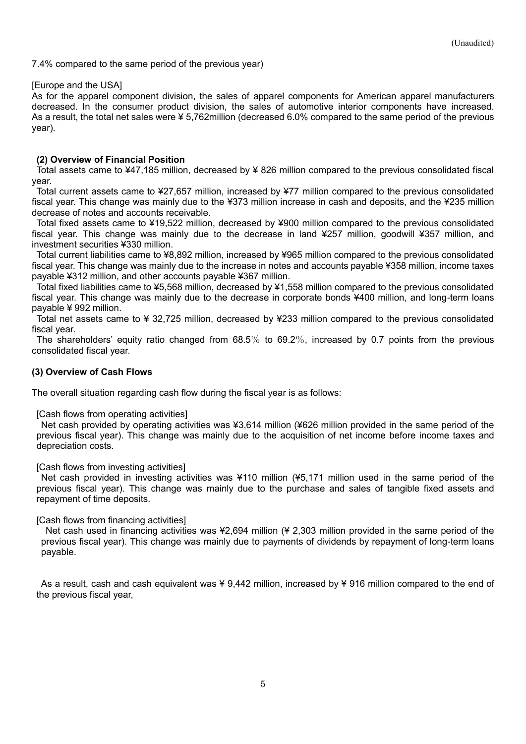7.4% compared to the same period of the previous year)

### [Europe and the USA]

As for the apparel component division, the sales of apparel components for American apparel manufacturers decreased. In the consumer product division, the sales of automotive interior components have increased. As a result, the total net sales were ¥ 5,762million (decreased 6.0% compared to the same period of the previous year).

### <span id="page-4-0"></span>**(2) Overview of Financial Position**

Total assets came to ¥47,185 million, decreased by ¥ 826 million compared to the previous consolidated fiscal year.

Total current assets came to ¥27,657 million, increased by ¥77 million compared to the previous consolidated fiscal year. This change was mainly due to the ¥373 million increase in cash and deposits, and the ¥235 million decrease of notes and accounts receivable.

Total fixed assets came to ¥19,522 million, decreased by ¥900 million compared to the previous consolidated fiscal year. This change was mainly due to the decrease in land ¥257 million, goodwill ¥357 million, and investment securities ¥330 million.

Total current liabilities came to ¥8,892 million, increased by ¥965 million compared to the previous consolidated fiscal year. This change was mainly due to the increase in notes and accounts payable ¥358 million, income taxes payable ¥312 million, and other accounts payable ¥367 million.

Total fixed liabilities came to ¥5,568 million, decreased by ¥1,558 million compared to the previous consolidated fiscal year. This change was mainly due to the decrease in corporate bonds ¥400 million, and long-term loans payable ¥ 992 million.

Total net assets came to ¥ 32,725 million, decreased by ¥233 million compared to the previous consolidated fiscal year.

The shareholders' equity ratio changed from 68.5% to 69.2%, increased by 0.7 points from the previous consolidated fiscal year.

### <span id="page-4-1"></span>**(3) Overview of Cash Flows**

The overall situation regarding cash flow during the fiscal year is as follows:

[Cash flows from operating activities]

Net cash provided by operating activities was ¥3,614 million (¥626 million provided in the same period of the previous fiscal year). This change was mainly due to the acquisition of net income before income taxes and depreciation costs.

[Cash flows from investing activities]

Net cash provided in investing activities was ¥110 million (¥5,171 million used in the same period of the previous fiscal year). This change was mainly due to the purchase and sales of tangible fixed assets and repayment of time deposits.

[Cash flows from financing activities]

Net cash used in financing activities was ¥2,694 million (¥ 2,303 million provided in the same period of the previous fiscal year). This change was mainly due to payments of dividends by repayment of long-term loans payable.

As a result, cash and cash equivalent was ¥ 9,442 million, increased by ¥ 916 million compared to the end of the previous fiscal year,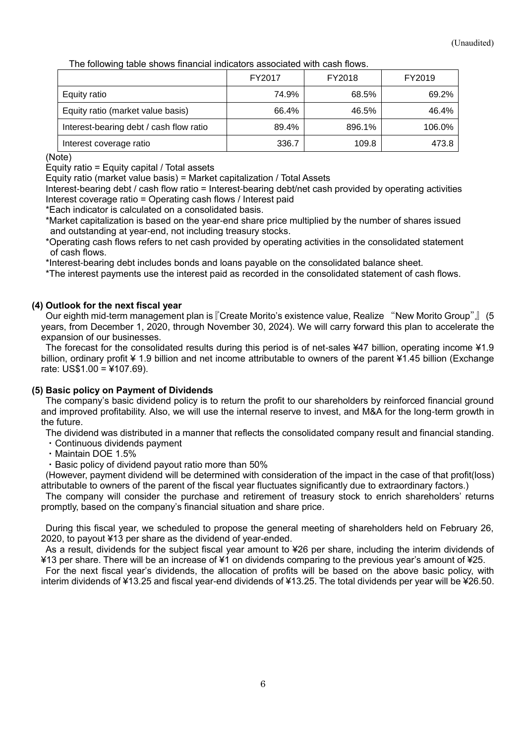The following table shows financial indicators associated with cash flows.

<span id="page-5-2"></span>

|                                         | FY2017 | FY2018 | FY2019 |
|-----------------------------------------|--------|--------|--------|
| Equity ratio                            | 74.9%  | 68.5%  | 69.2%  |
| Equity ratio (market value basis)       | 66.4%  | 46.5%  | 46.4%  |
| Interest-bearing debt / cash flow ratio | 89.4%  | 896.1% | 106.0% |
| Interest coverage ratio                 | 336.7  | 109.8  | 473.8  |

(Note)

Equity ratio = Equity capital / Total assets

Equity ratio (market value basis) = Market capitalization / Total Assets

Interest-bearing debt / cash flow ratio = Interest-bearing debt/net cash provided by operating activities Interest coverage ratio = Operating cash flows / Interest paid

\*Each indicator is calculated on a consolidated basis.

\*Market capitalization is based on the year-end share price multiplied by the number of shares issued and outstanding at year-end, not including treasury stocks.

\*Operating cash flows refers to net cash provided by operating activities in the consolidated statement of cash flows.

\*Interest-bearing debt includes bonds and loans payable on the consolidated balance sheet.

\*The interest payments use the interest paid as recorded in the consolidated statement of cash flows.

### <span id="page-5-0"></span>**(4) Outlook for the next fiscal year**

Our eighth mid-term management plan is『Create Morito's existence value, Realize "New Morito Group"』 (5 years, from December 1, 2020, through November 30, 2024). We will carry forward this plan to accelerate the expansion of our businesses.

The forecast for the consolidated results during this period is of net-sales ¥47 billion, operating income ¥1.9 billion, ordinary profit ¥ 1.9 billion and net income attributable to owners of the parent ¥1.45 billion (Exchange rate: US\$1.00 = ¥107.69).

### <span id="page-5-1"></span>**(5) Basic policy on Payment of Dividends**

The company's basic dividend policy is to return the profit to our shareholders by reinforced financial ground and improved profitability. Also, we will use the internal reserve to invest, and M&A for the long-term growth in the future.

The dividend was distributed in a manner that reflects the consolidated company result and financial standing.

- ・Continuous dividends payment
- ・Maintain DOE 1.5%
- ・Basic policy of dividend payout ratio more than 50%

(However, payment dividend will be determined with consideration of the impact in the case of that profit(loss) attributable to owners of the parent of the fiscal year fluctuates significantly due to extraordinary factors.)

The company will consider the purchase and retirement of treasury stock to enrich shareholders' returns promptly, based on the company's financial situation and share price.

During this fiscal year, we scheduled to propose the general meeting of shareholders held on February 26, 2020, to payout ¥13 per share as the dividend of year-ended.

As a result, dividends for the subject fiscal year amount to ¥26 per share, including the interim dividends of ¥13 per share. There will be an increase of ¥1 on dividends comparing to the previous year's amount of ¥25.

For the next fiscal year's dividends, the allocation of profits will be based on the above basic policy, with interim dividends of ¥13.25 and fiscal year-end dividends of ¥13.25. The total dividends per year will be ¥26.50.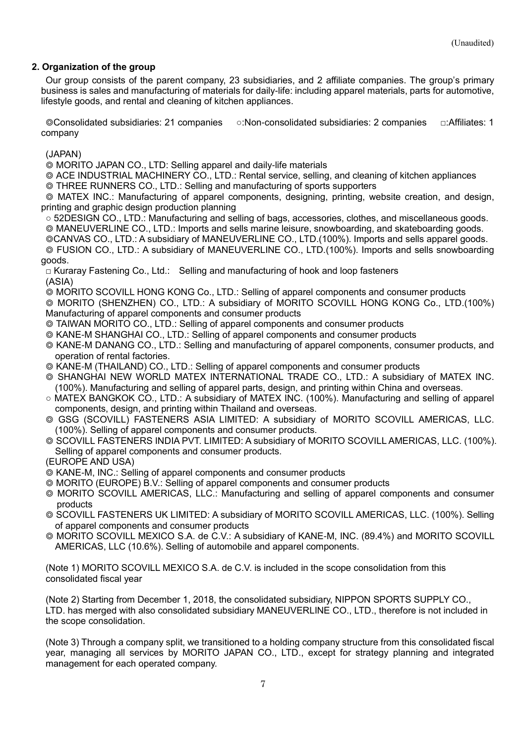### **2. Organization of the group**

Our group consists of the parent company, 23 subsidiaries, and 2 affiliate companies. The group's primary business is sales and manufacturing of materials for daily-life: including apparel materials, parts for automotive, lifestyle goods, and rental and cleaning of kitchen appliances.

◎Consolidated subsidiaries: 21 companies ○:Non-consolidated subsidiaries: 2 companies □:Affiliates: 1 company

(JAPAN)

◎ MORITO JAPAN CO., LTD: Selling apparel and daily-life materials

◎ ACE INDUSTRIAL MACHINERY CO., LTD.: Rental service, selling, and cleaning of kitchen appliances ◎ THREE RUNNERS CO., LTD.: Selling and manufacturing of sports supporters

◎ MATEX INC.: Manufacturing of apparel components, designing, printing, website creation, and design, printing and graphic design production planning

○ 52DESIGN CO., LTD.: Manufacturing and selling of bags, accessories, clothes, and miscellaneous goods. ◎ MANEUVERLINE CO., LTD.: Imports and sells marine leisure, snowboarding, and skateboarding goods.

©CANVAS CO., LTD.: A subsidiary of MANEUVERLINE CO., LTD.(100%). Imports and sells apparel goods.

◎ FUSION CO., LTD.: A subsidiary of MANEUVERLINE CO., LTD.(100%). Imports and sells snowboarding goods.

□ Kuraray Fastening Co., Ltd.: Selling and manufacturing of hook and loop fasteners (ASIA)

◎ MORITO SCOVILL HONG KONG Co., LTD.: Selling of apparel components and consumer products

◎ MORITO (SHENZHEN) CO., LTD.: A subsidiary of MORITO SCOVILL HONG KONG Co., LTD.(100%) Manufacturing of apparel components and consumer products

- ◎ TAIWAN MORITO CO., LTD.: Selling of apparel components and consumer products
- ◎ KANE-M SHANGHAI CO., LTD.: Selling of apparel components and consumer products
- ◎ KANE-M DANANG CO., LTD.: Selling and manufacturing of apparel components, consumer products, and operation of rental factories.
- ◎ KANE-M (THAILAND) CO., LTD.: Selling of apparel components and consumer products
- ◎ SHANGHAI NEW WORLD MATEX INTERNATIONAL TRADE CO., LTD.: A subsidiary of MATEX INC. (100%). Manufacturing and selling of apparel parts, design, and printing within China and overseas.
- MATEX BANGKOK CO., LTD.: A subsidiary of MATEX INC. (100%). Manufacturing and selling of apparel components, design, and printing within Thailand and overseas.
- ◎ GSG (SCOVILL) FASTENERS ASIA LIMITED: A subsidiary of MORITO SCOVILL AMERICAS, LLC. (100%). Selling of apparel components and consumer products.
- ◎ SCOVILL FASTENERS INDIA PVT. LIMITED: A subsidiary of MORITO SCOVILL AMERICAS, LLC. (100%). Selling of apparel components and consumer products.
- (EUROPE AND USA)
- ◎ KANE-M, INC.: Selling of apparel components and consumer products
- ◎ MORITO (EUROPE) B.V.: Selling of apparel components and consumer products
- ◎ MORITO SCOVILL AMERICAS, LLC.: Manufacturing and selling of apparel components and consumer products
- ◎ SCOVILL FASTENERS UK LIMITED: A subsidiary of MORITO SCOVILL AMERICAS, LLC. (100%). Selling of apparel components and consumer products
- ◎ MORITO SCOVILL MEXICO S.A. de C.V.: A subsidiary of KANE-M, INC. (89.4%) and MORITO SCOVILL AMERICAS, LLC (10.6%). Selling of automobile and apparel components.

(Note 1) MORITO SCOVILL MEXICO S.A. de C.V. is included in the scope consolidation from this consolidated fiscal year

(Note 2) Starting from December 1, 2018, the consolidated subsidiary, NIPPON SPORTS SUPPLY CO., LTD. has merged with also consolidated subsidiary MANEUVERLINE CO., LTD., therefore is not included in the scope consolidation.

(Note 3) Through a company split, we transitioned to a holding company structure from this consolidated fiscal year, managing all services by MORITO JAPAN CO., LTD., except for strategy planning and integrated management for each operated company.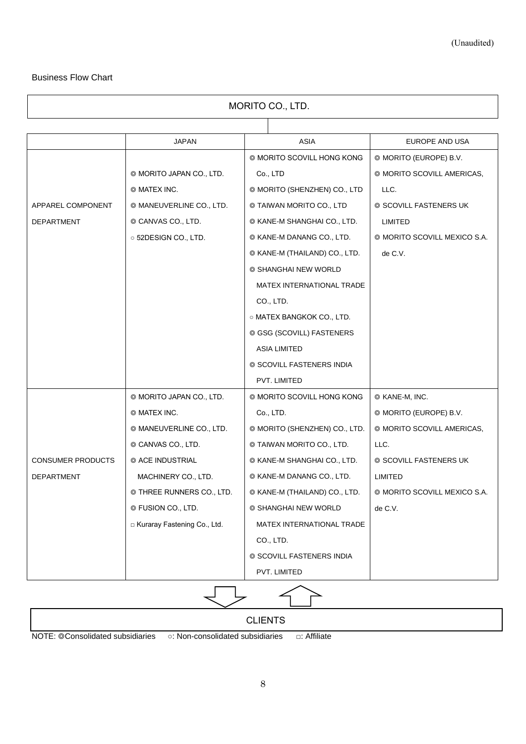### <span id="page-7-0"></span>Business Flow Chart

| MORITO CO., LTD.         |                               |                               |                              |  |  |  |  |  |
|--------------------------|-------------------------------|-------------------------------|------------------------------|--|--|--|--|--|
|                          |                               |                               |                              |  |  |  |  |  |
|                          | JAPAN                         | <b>ASIA</b>                   | EUROPE AND USA               |  |  |  |  |  |
|                          |                               | © MORITO SCOVILL HONG KONG    | © MORITO (EUROPE) B.V.       |  |  |  |  |  |
|                          | © MORITO JAPAN CO., LTD.      | Co., LTD                      | © MORITO SCOVILL AMERICAS,   |  |  |  |  |  |
|                          | @ MATEX INC.                  | © MORITO (SHENZHEN) CO., LTD  | LLC.                         |  |  |  |  |  |
| APPAREL COMPONENT        | © MANEUVERLINE CO., LTD.      | © TAIWAN MORITO CO., LTD      | © SCOVILL FASTENERS UK       |  |  |  |  |  |
| DEPARTMENT               | © CANVAS CO., LTD.            | © KANE-M SHANGHAI CO., LTD.   | LIMITED                      |  |  |  |  |  |
|                          | ○ 52DESIGN CO., LTD.          | © KANE-M DANANG CO., LTD.     | @ MORITO SCOVILL MEXICO S.A. |  |  |  |  |  |
|                          |                               | © KANE-M (THAILAND) CO., LTD. | de C.V.                      |  |  |  |  |  |
|                          |                               | © SHANGHAI NEW WORLD          |                              |  |  |  |  |  |
|                          |                               | MATEX INTERNATIONAL TRADE     |                              |  |  |  |  |  |
|                          |                               | CO., LTD.                     |                              |  |  |  |  |  |
|                          |                               | ○ MATEX BANGKOK CO., LTD.     |                              |  |  |  |  |  |
|                          |                               | © GSG (SCOVILL) FASTENERS     |                              |  |  |  |  |  |
|                          |                               | <b>ASIA LIMITED</b>           |                              |  |  |  |  |  |
|                          |                               | © SCOVILL FASTENERS INDIA     |                              |  |  |  |  |  |
|                          |                               | PVT. LIMITED                  |                              |  |  |  |  |  |
|                          | © MORITO JAPAN CO., LTD.      | © MORITO SCOVILL HONG KONG    | © KANE-M, INC.               |  |  |  |  |  |
|                          | © MATEX INC.                  | Co., LTD.                     | © MORITO (EUROPE) B.V.       |  |  |  |  |  |
|                          | © MANEUVERLINE CO., LTD.      | © MORITO (SHENZHEN) CO., LTD. | © MORITO SCOVILL AMERICAS,   |  |  |  |  |  |
|                          | © CANVAS CO., LTD.            | © TAIWAN MORITO CO., LTD.     | LLC.                         |  |  |  |  |  |
| <b>CONSUMER PRODUCTS</b> | © ACE INDUSTRIAL              | © KANE-M SHANGHAI CO., LTD.   | © SCOVILL FASTENERS UK       |  |  |  |  |  |
| DEPARTMENT               | MACHINERY CO., LTD.           | © KANE-M DANANG CO., LTD.     | LIMITED                      |  |  |  |  |  |
|                          | © THREE RUNNERS CO., LTD.     | © KANE-M (THAILAND) CO., LTD. | ◎ MORITO SCOVILL MEXICO S.A. |  |  |  |  |  |
|                          | © FUSION CO., LTD.            | © SHANGHAI NEW WORLD          | de C.V.                      |  |  |  |  |  |
|                          | E Kuraray Fastening Co., Ltd. | MATEX INTERNATIONAL TRADE     |                              |  |  |  |  |  |
|                          |                               | CO., LTD.                     |                              |  |  |  |  |  |
|                          |                               | © SCOVILL FASTENERS INDIA     |                              |  |  |  |  |  |
|                          |                               | PVT. LIMITED                  |                              |  |  |  |  |  |

|                                   | <b>CLIENTS</b>                   |                    |  |
|-----------------------------------|----------------------------------|--------------------|--|
| NOTE: © Consolidated subsidiaries | ○: Non-consolidated subsidiaries | $\Box$ : Affiliate |  |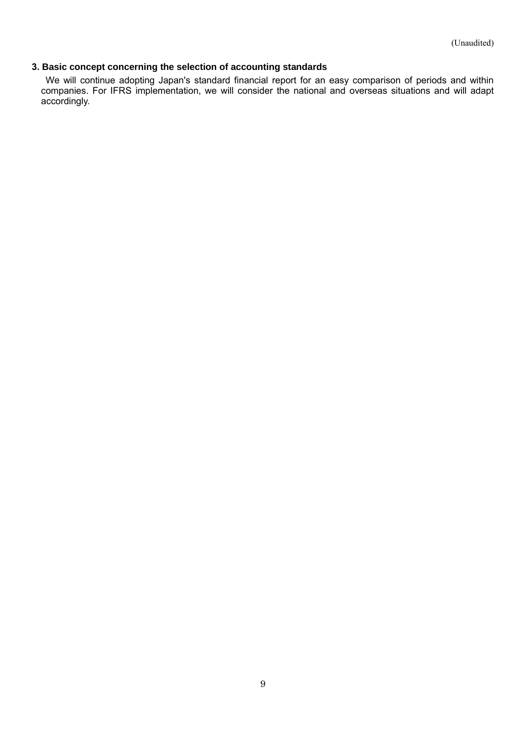### <span id="page-8-0"></span>**3. Basic concept concerning the selection of accounting standards**

We will continue adopting Japan's standard financial report for an easy comparison of periods and within companies. For IFRS implementation, we will consider the national and overseas situations and will adapt accordingly.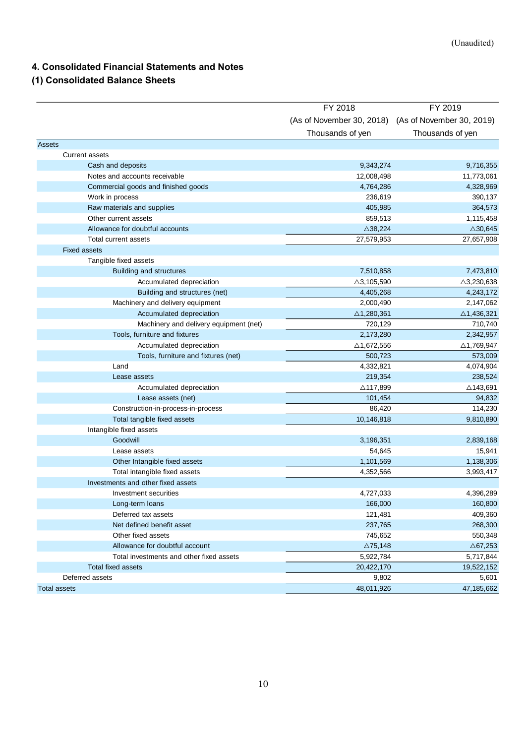## **4. Consolidated Financial Statements and Notes**

### <span id="page-9-0"></span>**(1) Consolidated Balance Sheets**

| (As of November 30, 2018) (As of November 30, 2019)<br>Thousands of yen<br>Thousands of yen<br><b>Assets</b><br><b>Current assets</b><br>Cash and deposits<br>9,343,274<br>9,716,355<br>Notes and accounts receivable<br>12,008,498<br>11,773,061<br>Commercial goods and finished goods<br>4,764,286<br>4,328,969<br>390,137<br>Work in process<br>236,619<br>Raw materials and supplies<br>364,573<br>405,985<br>859,513<br>1,115,458<br>Other current assets<br>Allowance for doubtful accounts<br>$\triangle$ 30,645<br>$\triangle$ 38,224<br>Total current assets<br>27,579,953<br>27,657,908<br><b>Fixed assets</b><br>Tangible fixed assets<br>7,510,858<br>7,473,810<br>Building and structures<br>Accumulated depreciation<br>$\triangle 3, 105, 590$<br>$\triangle$ 3,230,638<br>Building and structures (net)<br>4,243,172<br>4,405,268<br>Machinery and delivery equipment<br>2,000,490<br>2,147,062<br>Accumulated depreciation<br>$\triangle$ 1,436,321<br>$\triangle$ 1,280,361<br>Machinery and delivery equipment (net)<br>710,740<br>720,129<br>Tools, furniture and fixtures<br>2,173,280<br>2,342,957<br>Accumulated depreciation<br>$\triangle$ 1,672,556<br>$\triangle$ 1,769,947<br>Tools, furniture and fixtures (net)<br>500,723<br>573,009<br>Land<br>4,332,821<br>4,074,904<br>238,524<br>Lease assets<br>219,354<br>Accumulated depreciation<br>$\triangle$ 143,691<br>△117,899<br>94,832<br>Lease assets (net)<br>101,454<br>Construction-in-process-in-process<br>86,420<br>114,230<br>Total tangible fixed assets<br>10,146,818<br>9,810,890<br>Intangible fixed assets<br>Goodwill<br>3,196,351<br>2,839,168<br>54,645<br>15,941<br>Lease assets<br>Other Intangible fixed assets<br>1,101,569<br>1,138,306<br>Total intangible fixed assets<br>3,993,417<br>4,352,566<br>Investments and other fixed assets<br>4,396,289<br>Investment securities<br>4,727,033<br>166,000<br>160,800<br>Long-term loans<br>Deferred tax assets<br>409,360<br>121,481<br>268,300<br>Net defined benefit asset<br>237,765<br>550,348<br>Other fixed assets<br>745,652<br>Allowance for doubtful account<br>$\triangle$ 75,148<br>$\triangle$ 67,253<br>5,717,844<br>Total investments and other fixed assets<br>5,922,784<br><b>Total fixed assets</b><br>20,422,170<br>19,522,152<br>Deferred assets<br>9,802<br>5,601<br>48,011,926<br>47, 185, 662<br><b>Total assets</b> | FY 2018 | FY 2019 |
|---------------------------------------------------------------------------------------------------------------------------------------------------------------------------------------------------------------------------------------------------------------------------------------------------------------------------------------------------------------------------------------------------------------------------------------------------------------------------------------------------------------------------------------------------------------------------------------------------------------------------------------------------------------------------------------------------------------------------------------------------------------------------------------------------------------------------------------------------------------------------------------------------------------------------------------------------------------------------------------------------------------------------------------------------------------------------------------------------------------------------------------------------------------------------------------------------------------------------------------------------------------------------------------------------------------------------------------------------------------------------------------------------------------------------------------------------------------------------------------------------------------------------------------------------------------------------------------------------------------------------------------------------------------------------------------------------------------------------------------------------------------------------------------------------------------------------------------------------------------------------------------------------------------------------------------------------------------------------------------------------------------------------------------------------------------------------------------------------------------------------------------------------------------------------------------------------------------------------------------------------------------------------------------------------------------------------------------------------------------------------------------------|---------|---------|
|                                                                                                                                                                                                                                                                                                                                                                                                                                                                                                                                                                                                                                                                                                                                                                                                                                                                                                                                                                                                                                                                                                                                                                                                                                                                                                                                                                                                                                                                                                                                                                                                                                                                                                                                                                                                                                                                                                                                                                                                                                                                                                                                                                                                                                                                                                                                                                                             |         |         |
|                                                                                                                                                                                                                                                                                                                                                                                                                                                                                                                                                                                                                                                                                                                                                                                                                                                                                                                                                                                                                                                                                                                                                                                                                                                                                                                                                                                                                                                                                                                                                                                                                                                                                                                                                                                                                                                                                                                                                                                                                                                                                                                                                                                                                                                                                                                                                                                             |         |         |
|                                                                                                                                                                                                                                                                                                                                                                                                                                                                                                                                                                                                                                                                                                                                                                                                                                                                                                                                                                                                                                                                                                                                                                                                                                                                                                                                                                                                                                                                                                                                                                                                                                                                                                                                                                                                                                                                                                                                                                                                                                                                                                                                                                                                                                                                                                                                                                                             |         |         |
|                                                                                                                                                                                                                                                                                                                                                                                                                                                                                                                                                                                                                                                                                                                                                                                                                                                                                                                                                                                                                                                                                                                                                                                                                                                                                                                                                                                                                                                                                                                                                                                                                                                                                                                                                                                                                                                                                                                                                                                                                                                                                                                                                                                                                                                                                                                                                                                             |         |         |
|                                                                                                                                                                                                                                                                                                                                                                                                                                                                                                                                                                                                                                                                                                                                                                                                                                                                                                                                                                                                                                                                                                                                                                                                                                                                                                                                                                                                                                                                                                                                                                                                                                                                                                                                                                                                                                                                                                                                                                                                                                                                                                                                                                                                                                                                                                                                                                                             |         |         |
|                                                                                                                                                                                                                                                                                                                                                                                                                                                                                                                                                                                                                                                                                                                                                                                                                                                                                                                                                                                                                                                                                                                                                                                                                                                                                                                                                                                                                                                                                                                                                                                                                                                                                                                                                                                                                                                                                                                                                                                                                                                                                                                                                                                                                                                                                                                                                                                             |         |         |
|                                                                                                                                                                                                                                                                                                                                                                                                                                                                                                                                                                                                                                                                                                                                                                                                                                                                                                                                                                                                                                                                                                                                                                                                                                                                                                                                                                                                                                                                                                                                                                                                                                                                                                                                                                                                                                                                                                                                                                                                                                                                                                                                                                                                                                                                                                                                                                                             |         |         |
|                                                                                                                                                                                                                                                                                                                                                                                                                                                                                                                                                                                                                                                                                                                                                                                                                                                                                                                                                                                                                                                                                                                                                                                                                                                                                                                                                                                                                                                                                                                                                                                                                                                                                                                                                                                                                                                                                                                                                                                                                                                                                                                                                                                                                                                                                                                                                                                             |         |         |
|                                                                                                                                                                                                                                                                                                                                                                                                                                                                                                                                                                                                                                                                                                                                                                                                                                                                                                                                                                                                                                                                                                                                                                                                                                                                                                                                                                                                                                                                                                                                                                                                                                                                                                                                                                                                                                                                                                                                                                                                                                                                                                                                                                                                                                                                                                                                                                                             |         |         |
|                                                                                                                                                                                                                                                                                                                                                                                                                                                                                                                                                                                                                                                                                                                                                                                                                                                                                                                                                                                                                                                                                                                                                                                                                                                                                                                                                                                                                                                                                                                                                                                                                                                                                                                                                                                                                                                                                                                                                                                                                                                                                                                                                                                                                                                                                                                                                                                             |         |         |
|                                                                                                                                                                                                                                                                                                                                                                                                                                                                                                                                                                                                                                                                                                                                                                                                                                                                                                                                                                                                                                                                                                                                                                                                                                                                                                                                                                                                                                                                                                                                                                                                                                                                                                                                                                                                                                                                                                                                                                                                                                                                                                                                                                                                                                                                                                                                                                                             |         |         |
|                                                                                                                                                                                                                                                                                                                                                                                                                                                                                                                                                                                                                                                                                                                                                                                                                                                                                                                                                                                                                                                                                                                                                                                                                                                                                                                                                                                                                                                                                                                                                                                                                                                                                                                                                                                                                                                                                                                                                                                                                                                                                                                                                                                                                                                                                                                                                                                             |         |         |
|                                                                                                                                                                                                                                                                                                                                                                                                                                                                                                                                                                                                                                                                                                                                                                                                                                                                                                                                                                                                                                                                                                                                                                                                                                                                                                                                                                                                                                                                                                                                                                                                                                                                                                                                                                                                                                                                                                                                                                                                                                                                                                                                                                                                                                                                                                                                                                                             |         |         |
|                                                                                                                                                                                                                                                                                                                                                                                                                                                                                                                                                                                                                                                                                                                                                                                                                                                                                                                                                                                                                                                                                                                                                                                                                                                                                                                                                                                                                                                                                                                                                                                                                                                                                                                                                                                                                                                                                                                                                                                                                                                                                                                                                                                                                                                                                                                                                                                             |         |         |
|                                                                                                                                                                                                                                                                                                                                                                                                                                                                                                                                                                                                                                                                                                                                                                                                                                                                                                                                                                                                                                                                                                                                                                                                                                                                                                                                                                                                                                                                                                                                                                                                                                                                                                                                                                                                                                                                                                                                                                                                                                                                                                                                                                                                                                                                                                                                                                                             |         |         |
|                                                                                                                                                                                                                                                                                                                                                                                                                                                                                                                                                                                                                                                                                                                                                                                                                                                                                                                                                                                                                                                                                                                                                                                                                                                                                                                                                                                                                                                                                                                                                                                                                                                                                                                                                                                                                                                                                                                                                                                                                                                                                                                                                                                                                                                                                                                                                                                             |         |         |
|                                                                                                                                                                                                                                                                                                                                                                                                                                                                                                                                                                                                                                                                                                                                                                                                                                                                                                                                                                                                                                                                                                                                                                                                                                                                                                                                                                                                                                                                                                                                                                                                                                                                                                                                                                                                                                                                                                                                                                                                                                                                                                                                                                                                                                                                                                                                                                                             |         |         |
|                                                                                                                                                                                                                                                                                                                                                                                                                                                                                                                                                                                                                                                                                                                                                                                                                                                                                                                                                                                                                                                                                                                                                                                                                                                                                                                                                                                                                                                                                                                                                                                                                                                                                                                                                                                                                                                                                                                                                                                                                                                                                                                                                                                                                                                                                                                                                                                             |         |         |
|                                                                                                                                                                                                                                                                                                                                                                                                                                                                                                                                                                                                                                                                                                                                                                                                                                                                                                                                                                                                                                                                                                                                                                                                                                                                                                                                                                                                                                                                                                                                                                                                                                                                                                                                                                                                                                                                                                                                                                                                                                                                                                                                                                                                                                                                                                                                                                                             |         |         |
|                                                                                                                                                                                                                                                                                                                                                                                                                                                                                                                                                                                                                                                                                                                                                                                                                                                                                                                                                                                                                                                                                                                                                                                                                                                                                                                                                                                                                                                                                                                                                                                                                                                                                                                                                                                                                                                                                                                                                                                                                                                                                                                                                                                                                                                                                                                                                                                             |         |         |
|                                                                                                                                                                                                                                                                                                                                                                                                                                                                                                                                                                                                                                                                                                                                                                                                                                                                                                                                                                                                                                                                                                                                                                                                                                                                                                                                                                                                                                                                                                                                                                                                                                                                                                                                                                                                                                                                                                                                                                                                                                                                                                                                                                                                                                                                                                                                                                                             |         |         |
|                                                                                                                                                                                                                                                                                                                                                                                                                                                                                                                                                                                                                                                                                                                                                                                                                                                                                                                                                                                                                                                                                                                                                                                                                                                                                                                                                                                                                                                                                                                                                                                                                                                                                                                                                                                                                                                                                                                                                                                                                                                                                                                                                                                                                                                                                                                                                                                             |         |         |
|                                                                                                                                                                                                                                                                                                                                                                                                                                                                                                                                                                                                                                                                                                                                                                                                                                                                                                                                                                                                                                                                                                                                                                                                                                                                                                                                                                                                                                                                                                                                                                                                                                                                                                                                                                                                                                                                                                                                                                                                                                                                                                                                                                                                                                                                                                                                                                                             |         |         |
|                                                                                                                                                                                                                                                                                                                                                                                                                                                                                                                                                                                                                                                                                                                                                                                                                                                                                                                                                                                                                                                                                                                                                                                                                                                                                                                                                                                                                                                                                                                                                                                                                                                                                                                                                                                                                                                                                                                                                                                                                                                                                                                                                                                                                                                                                                                                                                                             |         |         |
|                                                                                                                                                                                                                                                                                                                                                                                                                                                                                                                                                                                                                                                                                                                                                                                                                                                                                                                                                                                                                                                                                                                                                                                                                                                                                                                                                                                                                                                                                                                                                                                                                                                                                                                                                                                                                                                                                                                                                                                                                                                                                                                                                                                                                                                                                                                                                                                             |         |         |
|                                                                                                                                                                                                                                                                                                                                                                                                                                                                                                                                                                                                                                                                                                                                                                                                                                                                                                                                                                                                                                                                                                                                                                                                                                                                                                                                                                                                                                                                                                                                                                                                                                                                                                                                                                                                                                                                                                                                                                                                                                                                                                                                                                                                                                                                                                                                                                                             |         |         |
|                                                                                                                                                                                                                                                                                                                                                                                                                                                                                                                                                                                                                                                                                                                                                                                                                                                                                                                                                                                                                                                                                                                                                                                                                                                                                                                                                                                                                                                                                                                                                                                                                                                                                                                                                                                                                                                                                                                                                                                                                                                                                                                                                                                                                                                                                                                                                                                             |         |         |
|                                                                                                                                                                                                                                                                                                                                                                                                                                                                                                                                                                                                                                                                                                                                                                                                                                                                                                                                                                                                                                                                                                                                                                                                                                                                                                                                                                                                                                                                                                                                                                                                                                                                                                                                                                                                                                                                                                                                                                                                                                                                                                                                                                                                                                                                                                                                                                                             |         |         |
|                                                                                                                                                                                                                                                                                                                                                                                                                                                                                                                                                                                                                                                                                                                                                                                                                                                                                                                                                                                                                                                                                                                                                                                                                                                                                                                                                                                                                                                                                                                                                                                                                                                                                                                                                                                                                                                                                                                                                                                                                                                                                                                                                                                                                                                                                                                                                                                             |         |         |
|                                                                                                                                                                                                                                                                                                                                                                                                                                                                                                                                                                                                                                                                                                                                                                                                                                                                                                                                                                                                                                                                                                                                                                                                                                                                                                                                                                                                                                                                                                                                                                                                                                                                                                                                                                                                                                                                                                                                                                                                                                                                                                                                                                                                                                                                                                                                                                                             |         |         |
|                                                                                                                                                                                                                                                                                                                                                                                                                                                                                                                                                                                                                                                                                                                                                                                                                                                                                                                                                                                                                                                                                                                                                                                                                                                                                                                                                                                                                                                                                                                                                                                                                                                                                                                                                                                                                                                                                                                                                                                                                                                                                                                                                                                                                                                                                                                                                                                             |         |         |
|                                                                                                                                                                                                                                                                                                                                                                                                                                                                                                                                                                                                                                                                                                                                                                                                                                                                                                                                                                                                                                                                                                                                                                                                                                                                                                                                                                                                                                                                                                                                                                                                                                                                                                                                                                                                                                                                                                                                                                                                                                                                                                                                                                                                                                                                                                                                                                                             |         |         |
|                                                                                                                                                                                                                                                                                                                                                                                                                                                                                                                                                                                                                                                                                                                                                                                                                                                                                                                                                                                                                                                                                                                                                                                                                                                                                                                                                                                                                                                                                                                                                                                                                                                                                                                                                                                                                                                                                                                                                                                                                                                                                                                                                                                                                                                                                                                                                                                             |         |         |
|                                                                                                                                                                                                                                                                                                                                                                                                                                                                                                                                                                                                                                                                                                                                                                                                                                                                                                                                                                                                                                                                                                                                                                                                                                                                                                                                                                                                                                                                                                                                                                                                                                                                                                                                                                                                                                                                                                                                                                                                                                                                                                                                                                                                                                                                                                                                                                                             |         |         |
|                                                                                                                                                                                                                                                                                                                                                                                                                                                                                                                                                                                                                                                                                                                                                                                                                                                                                                                                                                                                                                                                                                                                                                                                                                                                                                                                                                                                                                                                                                                                                                                                                                                                                                                                                                                                                                                                                                                                                                                                                                                                                                                                                                                                                                                                                                                                                                                             |         |         |
|                                                                                                                                                                                                                                                                                                                                                                                                                                                                                                                                                                                                                                                                                                                                                                                                                                                                                                                                                                                                                                                                                                                                                                                                                                                                                                                                                                                                                                                                                                                                                                                                                                                                                                                                                                                                                                                                                                                                                                                                                                                                                                                                                                                                                                                                                                                                                                                             |         |         |
|                                                                                                                                                                                                                                                                                                                                                                                                                                                                                                                                                                                                                                                                                                                                                                                                                                                                                                                                                                                                                                                                                                                                                                                                                                                                                                                                                                                                                                                                                                                                                                                                                                                                                                                                                                                                                                                                                                                                                                                                                                                                                                                                                                                                                                                                                                                                                                                             |         |         |
|                                                                                                                                                                                                                                                                                                                                                                                                                                                                                                                                                                                                                                                                                                                                                                                                                                                                                                                                                                                                                                                                                                                                                                                                                                                                                                                                                                                                                                                                                                                                                                                                                                                                                                                                                                                                                                                                                                                                                                                                                                                                                                                                                                                                                                                                                                                                                                                             |         |         |
|                                                                                                                                                                                                                                                                                                                                                                                                                                                                                                                                                                                                                                                                                                                                                                                                                                                                                                                                                                                                                                                                                                                                                                                                                                                                                                                                                                                                                                                                                                                                                                                                                                                                                                                                                                                                                                                                                                                                                                                                                                                                                                                                                                                                                                                                                                                                                                                             |         |         |
|                                                                                                                                                                                                                                                                                                                                                                                                                                                                                                                                                                                                                                                                                                                                                                                                                                                                                                                                                                                                                                                                                                                                                                                                                                                                                                                                                                                                                                                                                                                                                                                                                                                                                                                                                                                                                                                                                                                                                                                                                                                                                                                                                                                                                                                                                                                                                                                             |         |         |
|                                                                                                                                                                                                                                                                                                                                                                                                                                                                                                                                                                                                                                                                                                                                                                                                                                                                                                                                                                                                                                                                                                                                                                                                                                                                                                                                                                                                                                                                                                                                                                                                                                                                                                                                                                                                                                                                                                                                                                                                                                                                                                                                                                                                                                                                                                                                                                                             |         |         |
|                                                                                                                                                                                                                                                                                                                                                                                                                                                                                                                                                                                                                                                                                                                                                                                                                                                                                                                                                                                                                                                                                                                                                                                                                                                                                                                                                                                                                                                                                                                                                                                                                                                                                                                                                                                                                                                                                                                                                                                                                                                                                                                                                                                                                                                                                                                                                                                             |         |         |
|                                                                                                                                                                                                                                                                                                                                                                                                                                                                                                                                                                                                                                                                                                                                                                                                                                                                                                                                                                                                                                                                                                                                                                                                                                                                                                                                                                                                                                                                                                                                                                                                                                                                                                                                                                                                                                                                                                                                                                                                                                                                                                                                                                                                                                                                                                                                                                                             |         |         |
|                                                                                                                                                                                                                                                                                                                                                                                                                                                                                                                                                                                                                                                                                                                                                                                                                                                                                                                                                                                                                                                                                                                                                                                                                                                                                                                                                                                                                                                                                                                                                                                                                                                                                                                                                                                                                                                                                                                                                                                                                                                                                                                                                                                                                                                                                                                                                                                             |         |         |
|                                                                                                                                                                                                                                                                                                                                                                                                                                                                                                                                                                                                                                                                                                                                                                                                                                                                                                                                                                                                                                                                                                                                                                                                                                                                                                                                                                                                                                                                                                                                                                                                                                                                                                                                                                                                                                                                                                                                                                                                                                                                                                                                                                                                                                                                                                                                                                                             |         |         |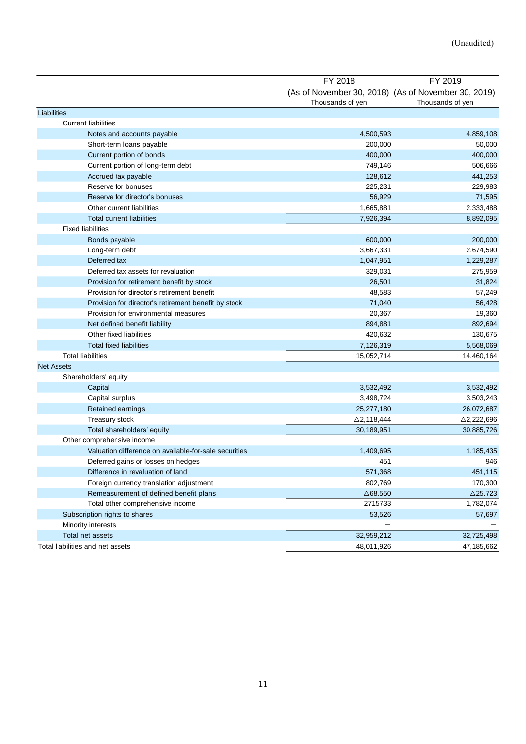<span id="page-10-0"></span>

|                                                       | FY 2018               | FY 2019                                                                 |
|-------------------------------------------------------|-----------------------|-------------------------------------------------------------------------|
|                                                       | Thousands of yen      | (As of November 30, 2018) (As of November 30, 2019)<br>Thousands of yen |
| Liabilities                                           |                       |                                                                         |
| <b>Current liabilities</b>                            |                       |                                                                         |
| Notes and accounts payable                            | 4,500,593             | 4,859,108                                                               |
| Short-term loans payable                              | 200,000               | 50,000                                                                  |
| Current portion of bonds                              | 400,000               | 400,000                                                                 |
| Current portion of long-term debt                     | 749,146               | 506,666                                                                 |
| Accrued tax payable                                   | 128,612               | 441,253                                                                 |
| Reserve for bonuses                                   | 225,231               | 229,983                                                                 |
| Reserve for director's bonuses                        | 56,929                | 71,595                                                                  |
| Other current liabilities                             | 1,665,881             | 2,333,488                                                               |
| <b>Total current liabilities</b>                      | 7,926,394             | 8,892,095                                                               |
| <b>Fixed liabilities</b>                              |                       |                                                                         |
| Bonds payable                                         | 600,000               | 200,000                                                                 |
| Long-term debt                                        | 3,667,331             | 2,674,590                                                               |
| Deferred tax                                          | 1,047,951             | 1,229,287                                                               |
| Deferred tax assets for revaluation                   | 329,031               | 275,959                                                                 |
| Provision for retirement benefit by stock             | 26,501                | 31,824                                                                  |
| Provision for director's retirement benefit           | 48,583                | 57,249                                                                  |
| Provision for director's retirement benefit by stock  | 71,040                | 56,428                                                                  |
| Provision for environmental measures                  | 20,367                | 19,360                                                                  |
| Net defined benefit liability                         | 894,881               | 892,694                                                                 |
| Other fixed liabilities                               | 420,632               | 130,675                                                                 |
| <b>Total fixed liabilities</b>                        | 7,126,319             | 5,568,069                                                               |
| <b>Total liabilities</b>                              | 15,052,714            | 14,460,164                                                              |
| <b>Net Assets</b>                                     |                       |                                                                         |
| Shareholders' equity                                  |                       |                                                                         |
|                                                       | 3,532,492             |                                                                         |
| Capital                                               |                       | 3,532,492                                                               |
| Capital surplus                                       | 3,498,724             | 3,503,243                                                               |
| Retained earnings                                     | 25,277,180            | 26,072,687                                                              |
| Treasury stock                                        | $\triangle$ 2,118,444 | $\triangle$ 2,222,696                                                   |
| Total shareholders' equity                            | 30,189,951            | 30,885,726                                                              |
| Other comprehensive income                            |                       |                                                                         |
| Valuation difference on available-for-sale securities | 1,409,695             | 1,185,435                                                               |
| Deferred gains or losses on hedges                    | 451                   | 946                                                                     |
| Difference in revaluation of land                     | 571,368               | 451,115                                                                 |
| Foreign currency translation adjustment               | 802,769               | 170,300                                                                 |
| Remeasurement of defined benefit plans                | $\triangle$ 68,550    | $\triangle$ 25,723                                                      |
| Total other comprehensive income                      | 2715733               | 1,782,074                                                               |
| Subscription rights to shares                         | 53,526                | 57,697                                                                  |
| Minority interests                                    |                       |                                                                         |
| Total net assets                                      | 32,959,212            | 32,725,498                                                              |
| Total liabilities and net assets                      | 48,011,926            | 47,185,662                                                              |
|                                                       |                       |                                                                         |
| 11                                                    |                       |                                                                         |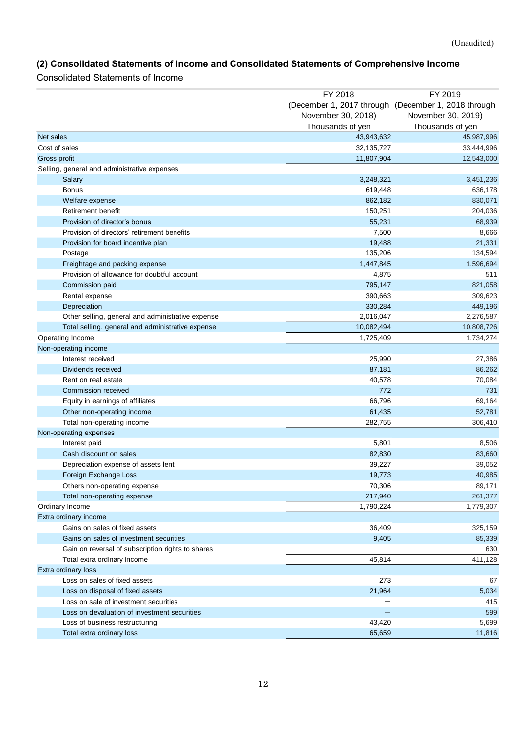## **(2) Consolidated Statements of Income and Consolidated Statements of Comprehensive Income**

Consolidated Statements of Income

| (December 1, 2017 through (December 1, 2018 through<br>November 30, 2018)<br>November 30, 2019)<br>Thousands of yen<br>Thousands of yen<br>Net sales<br>43,943,632<br>45,987,996<br>Cost of sales<br>32, 135, 727<br>33,444,996<br>Gross profit<br>11,807,904<br>12,543,000<br>Selling, general and administrative expenses<br>3,248,321<br>Salary<br>3,451,236<br><b>Bonus</b><br>619,448<br>636,178<br>Welfare expense<br>862,182<br>Retirement benefit<br>150,251<br>204,036<br>55,231<br>Provision of director's bonus<br>68,939<br>Provision of directors' retirement benefits<br>7,500<br>8,666<br>19,488<br>21,331<br>Provision for board incentive plan<br>135,206<br>Postage<br>134,594<br>Freightage and packing expense<br>1,447,845<br>1,596,694<br>Provision of allowance for doubtful account<br>511<br>4,875<br>Commission paid<br>795,147<br>821,058<br>390,663<br>Rental expense<br>309,623<br>330,284<br>Depreciation<br>449,196<br>2,016,047<br>Other selling, general and administrative expense<br>2,276,587<br>10,082,494<br>Total selling, general and administrative expense<br>10,808,726<br>Operating Income<br>1,725,409<br>1,734,274<br>Non-operating income<br>Interest received<br>25,990<br>27,386<br>87,181<br>Dividends received<br>86,262<br>40,578<br>70,084<br>Rent on real estate<br>772<br>Commission received<br>731<br>66,796<br>Equity in earnings of affiliates<br>69,164<br>52,781<br>Other non-operating income<br>61,435<br>Total non-operating income<br>282,755<br>306,410<br>Non-operating expenses<br>Interest paid<br>5,801<br>8,506<br>Cash discount on sales<br>82,830<br>83,660<br>Depreciation expense of assets lent<br>39,227<br>39,052<br>Foreign Exchange Loss<br>19,773<br>40,985<br>70,306<br>89,171<br>Others non-operating expense<br>261,377<br>Total non-operating expense<br>217,940<br>Ordinary Income<br>1,790,224<br>1,779,307<br>Extra ordinary income<br>Gains on sales of fixed assets<br>36,409<br>325,159<br>Gains on sales of investment securities<br>9,405<br>85,339<br>Gain on reversal of subscription rights to shares<br>630<br>45,814<br>411,128<br>Total extra ordinary income<br>Extra ordinary loss<br>Loss on sales of fixed assets<br>67<br>273<br>Loss on disposal of fixed assets<br>21,964<br>5,034<br>Loss on sale of investment securities<br>415<br>Loss on devaluation of investment securities<br>599<br>Loss of business restructuring<br>43,420<br>5,699<br>65,659<br>11,816<br>Total extra ordinary loss | FY 2018 | FY 2019 |
|-----------------------------------------------------------------------------------------------------------------------------------------------------------------------------------------------------------------------------------------------------------------------------------------------------------------------------------------------------------------------------------------------------------------------------------------------------------------------------------------------------------------------------------------------------------------------------------------------------------------------------------------------------------------------------------------------------------------------------------------------------------------------------------------------------------------------------------------------------------------------------------------------------------------------------------------------------------------------------------------------------------------------------------------------------------------------------------------------------------------------------------------------------------------------------------------------------------------------------------------------------------------------------------------------------------------------------------------------------------------------------------------------------------------------------------------------------------------------------------------------------------------------------------------------------------------------------------------------------------------------------------------------------------------------------------------------------------------------------------------------------------------------------------------------------------------------------------------------------------------------------------------------------------------------------------------------------------------------------------------------------------------------------------------------------------------------------------------------------------------------------------------------------------------------------------------------------------------------------------------------------------------------------------------------------------------------------------------------------------------------------------------------------------------------------------------------------------------------------------------------------------|---------|---------|
|                                                                                                                                                                                                                                                                                                                                                                                                                                                                                                                                                                                                                                                                                                                                                                                                                                                                                                                                                                                                                                                                                                                                                                                                                                                                                                                                                                                                                                                                                                                                                                                                                                                                                                                                                                                                                                                                                                                                                                                                                                                                                                                                                                                                                                                                                                                                                                                                                                                                                                           |         |         |
|                                                                                                                                                                                                                                                                                                                                                                                                                                                                                                                                                                                                                                                                                                                                                                                                                                                                                                                                                                                                                                                                                                                                                                                                                                                                                                                                                                                                                                                                                                                                                                                                                                                                                                                                                                                                                                                                                                                                                                                                                                                                                                                                                                                                                                                                                                                                                                                                                                                                                                           |         |         |
|                                                                                                                                                                                                                                                                                                                                                                                                                                                                                                                                                                                                                                                                                                                                                                                                                                                                                                                                                                                                                                                                                                                                                                                                                                                                                                                                                                                                                                                                                                                                                                                                                                                                                                                                                                                                                                                                                                                                                                                                                                                                                                                                                                                                                                                                                                                                                                                                                                                                                                           |         |         |
|                                                                                                                                                                                                                                                                                                                                                                                                                                                                                                                                                                                                                                                                                                                                                                                                                                                                                                                                                                                                                                                                                                                                                                                                                                                                                                                                                                                                                                                                                                                                                                                                                                                                                                                                                                                                                                                                                                                                                                                                                                                                                                                                                                                                                                                                                                                                                                                                                                                                                                           |         |         |
|                                                                                                                                                                                                                                                                                                                                                                                                                                                                                                                                                                                                                                                                                                                                                                                                                                                                                                                                                                                                                                                                                                                                                                                                                                                                                                                                                                                                                                                                                                                                                                                                                                                                                                                                                                                                                                                                                                                                                                                                                                                                                                                                                                                                                                                                                                                                                                                                                                                                                                           |         |         |
|                                                                                                                                                                                                                                                                                                                                                                                                                                                                                                                                                                                                                                                                                                                                                                                                                                                                                                                                                                                                                                                                                                                                                                                                                                                                                                                                                                                                                                                                                                                                                                                                                                                                                                                                                                                                                                                                                                                                                                                                                                                                                                                                                                                                                                                                                                                                                                                                                                                                                                           |         |         |
|                                                                                                                                                                                                                                                                                                                                                                                                                                                                                                                                                                                                                                                                                                                                                                                                                                                                                                                                                                                                                                                                                                                                                                                                                                                                                                                                                                                                                                                                                                                                                                                                                                                                                                                                                                                                                                                                                                                                                                                                                                                                                                                                                                                                                                                                                                                                                                                                                                                                                                           |         |         |
|                                                                                                                                                                                                                                                                                                                                                                                                                                                                                                                                                                                                                                                                                                                                                                                                                                                                                                                                                                                                                                                                                                                                                                                                                                                                                                                                                                                                                                                                                                                                                                                                                                                                                                                                                                                                                                                                                                                                                                                                                                                                                                                                                                                                                                                                                                                                                                                                                                                                                                           |         |         |
|                                                                                                                                                                                                                                                                                                                                                                                                                                                                                                                                                                                                                                                                                                                                                                                                                                                                                                                                                                                                                                                                                                                                                                                                                                                                                                                                                                                                                                                                                                                                                                                                                                                                                                                                                                                                                                                                                                                                                                                                                                                                                                                                                                                                                                                                                                                                                                                                                                                                                                           |         |         |
|                                                                                                                                                                                                                                                                                                                                                                                                                                                                                                                                                                                                                                                                                                                                                                                                                                                                                                                                                                                                                                                                                                                                                                                                                                                                                                                                                                                                                                                                                                                                                                                                                                                                                                                                                                                                                                                                                                                                                                                                                                                                                                                                                                                                                                                                                                                                                                                                                                                                                                           |         | 830,071 |
|                                                                                                                                                                                                                                                                                                                                                                                                                                                                                                                                                                                                                                                                                                                                                                                                                                                                                                                                                                                                                                                                                                                                                                                                                                                                                                                                                                                                                                                                                                                                                                                                                                                                                                                                                                                                                                                                                                                                                                                                                                                                                                                                                                                                                                                                                                                                                                                                                                                                                                           |         |         |
|                                                                                                                                                                                                                                                                                                                                                                                                                                                                                                                                                                                                                                                                                                                                                                                                                                                                                                                                                                                                                                                                                                                                                                                                                                                                                                                                                                                                                                                                                                                                                                                                                                                                                                                                                                                                                                                                                                                                                                                                                                                                                                                                                                                                                                                                                                                                                                                                                                                                                                           |         |         |
|                                                                                                                                                                                                                                                                                                                                                                                                                                                                                                                                                                                                                                                                                                                                                                                                                                                                                                                                                                                                                                                                                                                                                                                                                                                                                                                                                                                                                                                                                                                                                                                                                                                                                                                                                                                                                                                                                                                                                                                                                                                                                                                                                                                                                                                                                                                                                                                                                                                                                                           |         |         |
|                                                                                                                                                                                                                                                                                                                                                                                                                                                                                                                                                                                                                                                                                                                                                                                                                                                                                                                                                                                                                                                                                                                                                                                                                                                                                                                                                                                                                                                                                                                                                                                                                                                                                                                                                                                                                                                                                                                                                                                                                                                                                                                                                                                                                                                                                                                                                                                                                                                                                                           |         |         |
|                                                                                                                                                                                                                                                                                                                                                                                                                                                                                                                                                                                                                                                                                                                                                                                                                                                                                                                                                                                                                                                                                                                                                                                                                                                                                                                                                                                                                                                                                                                                                                                                                                                                                                                                                                                                                                                                                                                                                                                                                                                                                                                                                                                                                                                                                                                                                                                                                                                                                                           |         |         |
|                                                                                                                                                                                                                                                                                                                                                                                                                                                                                                                                                                                                                                                                                                                                                                                                                                                                                                                                                                                                                                                                                                                                                                                                                                                                                                                                                                                                                                                                                                                                                                                                                                                                                                                                                                                                                                                                                                                                                                                                                                                                                                                                                                                                                                                                                                                                                                                                                                                                                                           |         |         |
|                                                                                                                                                                                                                                                                                                                                                                                                                                                                                                                                                                                                                                                                                                                                                                                                                                                                                                                                                                                                                                                                                                                                                                                                                                                                                                                                                                                                                                                                                                                                                                                                                                                                                                                                                                                                                                                                                                                                                                                                                                                                                                                                                                                                                                                                                                                                                                                                                                                                                                           |         |         |
|                                                                                                                                                                                                                                                                                                                                                                                                                                                                                                                                                                                                                                                                                                                                                                                                                                                                                                                                                                                                                                                                                                                                                                                                                                                                                                                                                                                                                                                                                                                                                                                                                                                                                                                                                                                                                                                                                                                                                                                                                                                                                                                                                                                                                                                                                                                                                                                                                                                                                                           |         |         |
|                                                                                                                                                                                                                                                                                                                                                                                                                                                                                                                                                                                                                                                                                                                                                                                                                                                                                                                                                                                                                                                                                                                                                                                                                                                                                                                                                                                                                                                                                                                                                                                                                                                                                                                                                                                                                                                                                                                                                                                                                                                                                                                                                                                                                                                                                                                                                                                                                                                                                                           |         |         |
|                                                                                                                                                                                                                                                                                                                                                                                                                                                                                                                                                                                                                                                                                                                                                                                                                                                                                                                                                                                                                                                                                                                                                                                                                                                                                                                                                                                                                                                                                                                                                                                                                                                                                                                                                                                                                                                                                                                                                                                                                                                                                                                                                                                                                                                                                                                                                                                                                                                                                                           |         |         |
|                                                                                                                                                                                                                                                                                                                                                                                                                                                                                                                                                                                                                                                                                                                                                                                                                                                                                                                                                                                                                                                                                                                                                                                                                                                                                                                                                                                                                                                                                                                                                                                                                                                                                                                                                                                                                                                                                                                                                                                                                                                                                                                                                                                                                                                                                                                                                                                                                                                                                                           |         |         |
|                                                                                                                                                                                                                                                                                                                                                                                                                                                                                                                                                                                                                                                                                                                                                                                                                                                                                                                                                                                                                                                                                                                                                                                                                                                                                                                                                                                                                                                                                                                                                                                                                                                                                                                                                                                                                                                                                                                                                                                                                                                                                                                                                                                                                                                                                                                                                                                                                                                                                                           |         |         |
|                                                                                                                                                                                                                                                                                                                                                                                                                                                                                                                                                                                                                                                                                                                                                                                                                                                                                                                                                                                                                                                                                                                                                                                                                                                                                                                                                                                                                                                                                                                                                                                                                                                                                                                                                                                                                                                                                                                                                                                                                                                                                                                                                                                                                                                                                                                                                                                                                                                                                                           |         |         |
|                                                                                                                                                                                                                                                                                                                                                                                                                                                                                                                                                                                                                                                                                                                                                                                                                                                                                                                                                                                                                                                                                                                                                                                                                                                                                                                                                                                                                                                                                                                                                                                                                                                                                                                                                                                                                                                                                                                                                                                                                                                                                                                                                                                                                                                                                                                                                                                                                                                                                                           |         |         |
|                                                                                                                                                                                                                                                                                                                                                                                                                                                                                                                                                                                                                                                                                                                                                                                                                                                                                                                                                                                                                                                                                                                                                                                                                                                                                                                                                                                                                                                                                                                                                                                                                                                                                                                                                                                                                                                                                                                                                                                                                                                                                                                                                                                                                                                                                                                                                                                                                                                                                                           |         |         |
|                                                                                                                                                                                                                                                                                                                                                                                                                                                                                                                                                                                                                                                                                                                                                                                                                                                                                                                                                                                                                                                                                                                                                                                                                                                                                                                                                                                                                                                                                                                                                                                                                                                                                                                                                                                                                                                                                                                                                                                                                                                                                                                                                                                                                                                                                                                                                                                                                                                                                                           |         |         |
|                                                                                                                                                                                                                                                                                                                                                                                                                                                                                                                                                                                                                                                                                                                                                                                                                                                                                                                                                                                                                                                                                                                                                                                                                                                                                                                                                                                                                                                                                                                                                                                                                                                                                                                                                                                                                                                                                                                                                                                                                                                                                                                                                                                                                                                                                                                                                                                                                                                                                                           |         |         |
|                                                                                                                                                                                                                                                                                                                                                                                                                                                                                                                                                                                                                                                                                                                                                                                                                                                                                                                                                                                                                                                                                                                                                                                                                                                                                                                                                                                                                                                                                                                                                                                                                                                                                                                                                                                                                                                                                                                                                                                                                                                                                                                                                                                                                                                                                                                                                                                                                                                                                                           |         |         |
|                                                                                                                                                                                                                                                                                                                                                                                                                                                                                                                                                                                                                                                                                                                                                                                                                                                                                                                                                                                                                                                                                                                                                                                                                                                                                                                                                                                                                                                                                                                                                                                                                                                                                                                                                                                                                                                                                                                                                                                                                                                                                                                                                                                                                                                                                                                                                                                                                                                                                                           |         |         |
|                                                                                                                                                                                                                                                                                                                                                                                                                                                                                                                                                                                                                                                                                                                                                                                                                                                                                                                                                                                                                                                                                                                                                                                                                                                                                                                                                                                                                                                                                                                                                                                                                                                                                                                                                                                                                                                                                                                                                                                                                                                                                                                                                                                                                                                                                                                                                                                                                                                                                                           |         |         |
|                                                                                                                                                                                                                                                                                                                                                                                                                                                                                                                                                                                                                                                                                                                                                                                                                                                                                                                                                                                                                                                                                                                                                                                                                                                                                                                                                                                                                                                                                                                                                                                                                                                                                                                                                                                                                                                                                                                                                                                                                                                                                                                                                                                                                                                                                                                                                                                                                                                                                                           |         |         |
|                                                                                                                                                                                                                                                                                                                                                                                                                                                                                                                                                                                                                                                                                                                                                                                                                                                                                                                                                                                                                                                                                                                                                                                                                                                                                                                                                                                                                                                                                                                                                                                                                                                                                                                                                                                                                                                                                                                                                                                                                                                                                                                                                                                                                                                                                                                                                                                                                                                                                                           |         |         |
|                                                                                                                                                                                                                                                                                                                                                                                                                                                                                                                                                                                                                                                                                                                                                                                                                                                                                                                                                                                                                                                                                                                                                                                                                                                                                                                                                                                                                                                                                                                                                                                                                                                                                                                                                                                                                                                                                                                                                                                                                                                                                                                                                                                                                                                                                                                                                                                                                                                                                                           |         |         |
|                                                                                                                                                                                                                                                                                                                                                                                                                                                                                                                                                                                                                                                                                                                                                                                                                                                                                                                                                                                                                                                                                                                                                                                                                                                                                                                                                                                                                                                                                                                                                                                                                                                                                                                                                                                                                                                                                                                                                                                                                                                                                                                                                                                                                                                                                                                                                                                                                                                                                                           |         |         |
|                                                                                                                                                                                                                                                                                                                                                                                                                                                                                                                                                                                                                                                                                                                                                                                                                                                                                                                                                                                                                                                                                                                                                                                                                                                                                                                                                                                                                                                                                                                                                                                                                                                                                                                                                                                                                                                                                                                                                                                                                                                                                                                                                                                                                                                                                                                                                                                                                                                                                                           |         |         |
|                                                                                                                                                                                                                                                                                                                                                                                                                                                                                                                                                                                                                                                                                                                                                                                                                                                                                                                                                                                                                                                                                                                                                                                                                                                                                                                                                                                                                                                                                                                                                                                                                                                                                                                                                                                                                                                                                                                                                                                                                                                                                                                                                                                                                                                                                                                                                                                                                                                                                                           |         |         |
|                                                                                                                                                                                                                                                                                                                                                                                                                                                                                                                                                                                                                                                                                                                                                                                                                                                                                                                                                                                                                                                                                                                                                                                                                                                                                                                                                                                                                                                                                                                                                                                                                                                                                                                                                                                                                                                                                                                                                                                                                                                                                                                                                                                                                                                                                                                                                                                                                                                                                                           |         |         |
|                                                                                                                                                                                                                                                                                                                                                                                                                                                                                                                                                                                                                                                                                                                                                                                                                                                                                                                                                                                                                                                                                                                                                                                                                                                                                                                                                                                                                                                                                                                                                                                                                                                                                                                                                                                                                                                                                                                                                                                                                                                                                                                                                                                                                                                                                                                                                                                                                                                                                                           |         |         |
|                                                                                                                                                                                                                                                                                                                                                                                                                                                                                                                                                                                                                                                                                                                                                                                                                                                                                                                                                                                                                                                                                                                                                                                                                                                                                                                                                                                                                                                                                                                                                                                                                                                                                                                                                                                                                                                                                                                                                                                                                                                                                                                                                                                                                                                                                                                                                                                                                                                                                                           |         |         |
|                                                                                                                                                                                                                                                                                                                                                                                                                                                                                                                                                                                                                                                                                                                                                                                                                                                                                                                                                                                                                                                                                                                                                                                                                                                                                                                                                                                                                                                                                                                                                                                                                                                                                                                                                                                                                                                                                                                                                                                                                                                                                                                                                                                                                                                                                                                                                                                                                                                                                                           |         |         |
|                                                                                                                                                                                                                                                                                                                                                                                                                                                                                                                                                                                                                                                                                                                                                                                                                                                                                                                                                                                                                                                                                                                                                                                                                                                                                                                                                                                                                                                                                                                                                                                                                                                                                                                                                                                                                                                                                                                                                                                                                                                                                                                                                                                                                                                                                                                                                                                                                                                                                                           |         |         |
|                                                                                                                                                                                                                                                                                                                                                                                                                                                                                                                                                                                                                                                                                                                                                                                                                                                                                                                                                                                                                                                                                                                                                                                                                                                                                                                                                                                                                                                                                                                                                                                                                                                                                                                                                                                                                                                                                                                                                                                                                                                                                                                                                                                                                                                                                                                                                                                                                                                                                                           |         |         |
|                                                                                                                                                                                                                                                                                                                                                                                                                                                                                                                                                                                                                                                                                                                                                                                                                                                                                                                                                                                                                                                                                                                                                                                                                                                                                                                                                                                                                                                                                                                                                                                                                                                                                                                                                                                                                                                                                                                                                                                                                                                                                                                                                                                                                                                                                                                                                                                                                                                                                                           |         |         |
|                                                                                                                                                                                                                                                                                                                                                                                                                                                                                                                                                                                                                                                                                                                                                                                                                                                                                                                                                                                                                                                                                                                                                                                                                                                                                                                                                                                                                                                                                                                                                                                                                                                                                                                                                                                                                                                                                                                                                                                                                                                                                                                                                                                                                                                                                                                                                                                                                                                                                                           |         |         |
|                                                                                                                                                                                                                                                                                                                                                                                                                                                                                                                                                                                                                                                                                                                                                                                                                                                                                                                                                                                                                                                                                                                                                                                                                                                                                                                                                                                                                                                                                                                                                                                                                                                                                                                                                                                                                                                                                                                                                                                                                                                                                                                                                                                                                                                                                                                                                                                                                                                                                                           |         |         |
|                                                                                                                                                                                                                                                                                                                                                                                                                                                                                                                                                                                                                                                                                                                                                                                                                                                                                                                                                                                                                                                                                                                                                                                                                                                                                                                                                                                                                                                                                                                                                                                                                                                                                                                                                                                                                                                                                                                                                                                                                                                                                                                                                                                                                                                                                                                                                                                                                                                                                                           |         |         |
|                                                                                                                                                                                                                                                                                                                                                                                                                                                                                                                                                                                                                                                                                                                                                                                                                                                                                                                                                                                                                                                                                                                                                                                                                                                                                                                                                                                                                                                                                                                                                                                                                                                                                                                                                                                                                                                                                                                                                                                                                                                                                                                                                                                                                                                                                                                                                                                                                                                                                                           |         |         |
|                                                                                                                                                                                                                                                                                                                                                                                                                                                                                                                                                                                                                                                                                                                                                                                                                                                                                                                                                                                                                                                                                                                                                                                                                                                                                                                                                                                                                                                                                                                                                                                                                                                                                                                                                                                                                                                                                                                                                                                                                                                                                                                                                                                                                                                                                                                                                                                                                                                                                                           |         |         |
|                                                                                                                                                                                                                                                                                                                                                                                                                                                                                                                                                                                                                                                                                                                                                                                                                                                                                                                                                                                                                                                                                                                                                                                                                                                                                                                                                                                                                                                                                                                                                                                                                                                                                                                                                                                                                                                                                                                                                                                                                                                                                                                                                                                                                                                                                                                                                                                                                                                                                                           |         |         |
|                                                                                                                                                                                                                                                                                                                                                                                                                                                                                                                                                                                                                                                                                                                                                                                                                                                                                                                                                                                                                                                                                                                                                                                                                                                                                                                                                                                                                                                                                                                                                                                                                                                                                                                                                                                                                                                                                                                                                                                                                                                                                                                                                                                                                                                                                                                                                                                                                                                                                                           |         |         |
|                                                                                                                                                                                                                                                                                                                                                                                                                                                                                                                                                                                                                                                                                                                                                                                                                                                                                                                                                                                                                                                                                                                                                                                                                                                                                                                                                                                                                                                                                                                                                                                                                                                                                                                                                                                                                                                                                                                                                                                                                                                                                                                                                                                                                                                                                                                                                                                                                                                                                                           |         |         |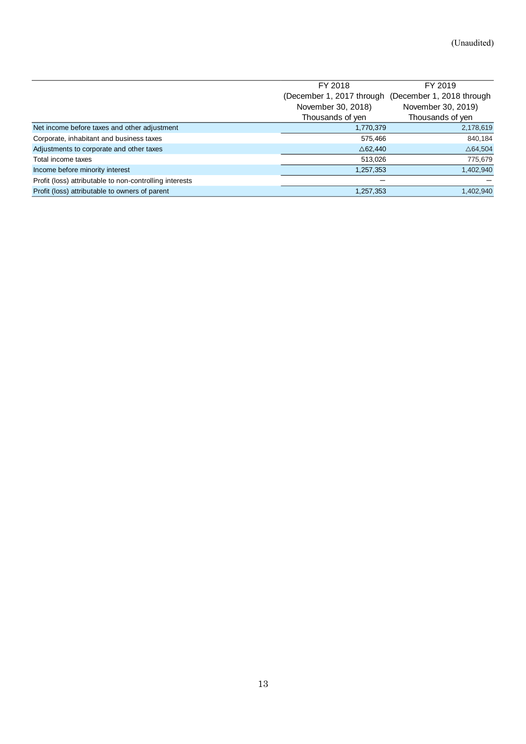|                                                         | FY 2018                                             | FY 2019              |
|---------------------------------------------------------|-----------------------------------------------------|----------------------|
|                                                         | (December 1, 2017 through (December 1, 2018 through |                      |
|                                                         | November 30, 2018)                                  | November 30, 2019)   |
|                                                         | Thousands of yen                                    | Thousands of yen     |
| Net income before taxes and other adjustment            | 1,770,379                                           | 2,178,619            |
| Corporate, inhabitant and business taxes                | 575,466                                             | 840,184              |
| Adjustments to corporate and other taxes                | $\triangle$ 62,440                                  | $\triangle 64,\!504$ |
| Total income taxes                                      | 513,026                                             | 775,679              |
| Income before minority interest                         | 1,257,353                                           | 1,402,940            |
| Profit (loss) attributable to non-controlling interests |                                                     |                      |
| Profit (loss) attributable to owners of parent          | 1,257,353                                           | 1,402,940            |
|                                                         |                                                     |                      |
|                                                         |                                                     |                      |
|                                                         |                                                     |                      |
|                                                         |                                                     |                      |
|                                                         |                                                     |                      |
|                                                         |                                                     |                      |
|                                                         |                                                     |                      |
|                                                         |                                                     |                      |
|                                                         |                                                     |                      |
|                                                         |                                                     |                      |
|                                                         |                                                     |                      |
|                                                         |                                                     |                      |
|                                                         |                                                     |                      |
|                                                         |                                                     |                      |
|                                                         |                                                     |                      |
|                                                         |                                                     |                      |
|                                                         |                                                     |                      |
|                                                         |                                                     |                      |
|                                                         |                                                     |                      |
|                                                         |                                                     |                      |
|                                                         |                                                     |                      |
|                                                         |                                                     |                      |
|                                                         |                                                     |                      |
|                                                         |                                                     |                      |
|                                                         |                                                     |                      |
|                                                         |                                                     |                      |
|                                                         |                                                     |                      |
|                                                         |                                                     |                      |
|                                                         |                                                     |                      |
|                                                         |                                                     |                      |
|                                                         |                                                     |                      |
|                                                         |                                                     |                      |
|                                                         |                                                     |                      |
|                                                         |                                                     |                      |
|                                                         |                                                     |                      |
|                                                         |                                                     |                      |
|                                                         |                                                     |                      |
|                                                         |                                                     |                      |
|                                                         |                                                     |                      |
|                                                         |                                                     |                      |
|                                                         |                                                     |                      |
|                                                         |                                                     |                      |
|                                                         |                                                     |                      |
|                                                         |                                                     |                      |
|                                                         |                                                     |                      |
|                                                         |                                                     |                      |
| $13\,$                                                  |                                                     |                      |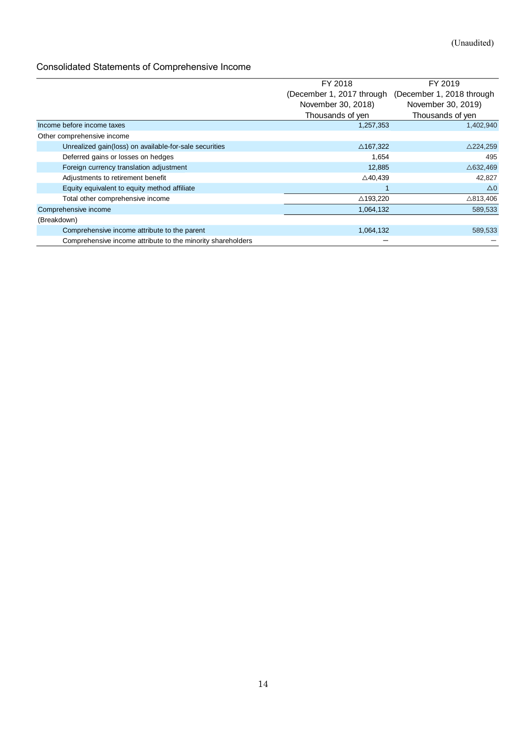## <span id="page-13-0"></span>Consolidated Statements of Comprehensive Income

|                                                             | FY 2018                   | FY 2019                   |
|-------------------------------------------------------------|---------------------------|---------------------------|
|                                                             | (December 1, 2017 through | (December 1, 2018 through |
|                                                             | November 30, 2018)        | November 30, 2019)        |
|                                                             | Thousands of yen          | Thousands of yen          |
| Income before income taxes                                  | 1,257,353                 | 1,402,940                 |
| Other comprehensive income                                  |                           |                           |
| Unrealized gain(loss) on available-for-sale securities      | $\triangle$ 167,322       | $\triangle$ 224,259       |
| Deferred gains or losses on hedges                          | 1,654                     | 495                       |
| Foreign currency translation adjustment                     | 12,885                    | $\triangle$ 632,469       |
| Adjustments to retirement benefit                           | $\triangle$ 40,439        | 42,827                    |
| Equity equivalent to equity method affiliate                |                           | $\Delta 0$                |
| Total other comprehensive income                            | $\triangle$ 193,220       | $\triangle$ 813,406       |
| Comprehensive income                                        | 1,064,132                 | 589,533                   |
| (Breakdown)                                                 |                           |                           |
| Comprehensive income attribute to the parent                | 1,064,132                 | 589,533                   |
| Comprehensive income attribute to the minority shareholders |                           |                           |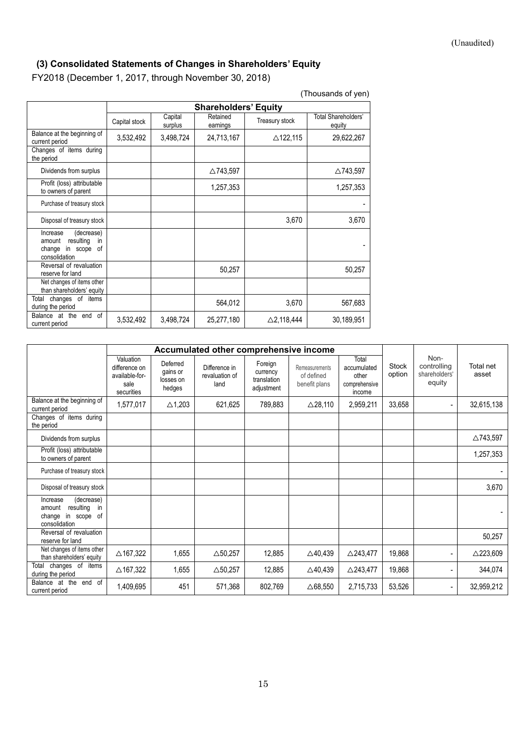## **(3) Consolidated Statements of Changes in Shareholders' Equity**

FY2018 (December 1, 2017, through November 30, 2018)

|                                                                                               | <b>Shareholders' Equity</b> |                    |                      |                       |                               |  |  |
|-----------------------------------------------------------------------------------------------|-----------------------------|--------------------|----------------------|-----------------------|-------------------------------|--|--|
|                                                                                               | Capital stock               | Capital<br>surplus | Retained<br>earnings | Treasury stock        | Total Shareholders'<br>equity |  |  |
| Balance at the beginning of<br>current period                                                 | 3,532,492                   | 3,498,724          | 24,713,167           | $\triangle$ 122,115   | 29,622,267                    |  |  |
| Changes of items during<br>the period                                                         |                             |                    |                      |                       |                               |  |  |
| Dividends from surplus                                                                        |                             |                    | △743,597             |                       | △743,597                      |  |  |
| Profit (loss) attributable<br>to owners of parent                                             |                             |                    | 1,257,353            |                       | 1,257,353                     |  |  |
| Purchase of treasury stock                                                                    |                             |                    |                      |                       |                               |  |  |
| Disposal of treasury stock                                                                    |                             |                    |                      | 3,670                 | 3,670                         |  |  |
| (decrease)<br>Increase<br>resulting<br>amount<br>in<br>change in scope<br>0f<br>consolidation |                             |                    |                      |                       |                               |  |  |
| Reversal of revaluation<br>reserve for land                                                   |                             |                    | 50,257               |                       | 50,257                        |  |  |
| Net changes of items other<br>than shareholders' equity                                       |                             |                    |                      |                       |                               |  |  |
| changes of items<br>Total<br>during the period                                                |                             |                    | 564,012              | 3,670                 | 567,683                       |  |  |
| end of<br>Balance at the<br>current period                                                    | 3,532,492                   | 3,498,724          | 25,277,180           | $\triangle$ 2,118,444 | 30,189,951                    |  |  |

(Thousands of yen)

|                                                                                            | Accumulated other comprehensive income                             |                                             |                                         |                                                  |                                               |                                                          |                        |                                                |                     |
|--------------------------------------------------------------------------------------------|--------------------------------------------------------------------|---------------------------------------------|-----------------------------------------|--------------------------------------------------|-----------------------------------------------|----------------------------------------------------------|------------------------|------------------------------------------------|---------------------|
|                                                                                            | Valuation<br>difference on<br>available-for-<br>sale<br>securities | Deferred<br>gains or<br>losses on<br>hedges | Difference in<br>revaluation of<br>land | Foreign<br>currency<br>translation<br>adjustment | Remeasurements<br>of defined<br>benefit plans | Total<br>accumulated<br>other<br>comprehensive<br>income | <b>Stock</b><br>option | Non-<br>controlling<br>shareholders'<br>equity | Total net<br>asset  |
| Balance at the beginning of<br>current period                                              | 1,577,017                                                          | $\triangle$ 1,203                           | 621,625                                 | 789,883                                          | $\triangle$ 28,110                            | 2,959,211                                                | 33,658                 |                                                | 32,615,138          |
| Changes of items during<br>the period                                                      |                                                                    |                                             |                                         |                                                  |                                               |                                                          |                        |                                                |                     |
| Dividends from surplus                                                                     |                                                                    |                                             |                                         |                                                  |                                               |                                                          |                        |                                                | △743,597            |
| Profit (loss) attributable<br>to owners of parent                                          |                                                                    |                                             |                                         |                                                  |                                               |                                                          |                        |                                                | 1,257,353           |
| Purchase of treasury stock                                                                 |                                                                    |                                             |                                         |                                                  |                                               |                                                          |                        |                                                |                     |
| Disposal of treasury stock                                                                 |                                                                    |                                             |                                         |                                                  |                                               |                                                          |                        |                                                | 3,670               |
| (decrease)<br>Increase<br>resulting<br>in<br>amount<br>change in scope of<br>consolidation |                                                                    |                                             |                                         |                                                  |                                               |                                                          |                        |                                                |                     |
| Reversal of revaluation<br>reserve for land                                                |                                                                    |                                             |                                         |                                                  |                                               |                                                          |                        |                                                | 50,257              |
| Net changes of items other<br>than shareholders' equity                                    | $\triangle$ 167,322                                                | 1,655                                       | $\triangle$ 50,257                      | 12,885                                           | $\triangle$ 40,439                            | $\triangle$ 243,477                                      | 19,868                 |                                                | $\triangle$ 223,609 |
| Total<br>changes of items<br>during the period                                             | $\triangle$ 167,322                                                | 1,655                                       | $\triangle$ 50,257                      | 12,885                                           | $\triangle$ 40,439                            | $\triangle$ 243,477                                      | 19,868                 |                                                | 344,074             |
| Balance at the end of<br>current period                                                    | 1,409,695                                                          | 451                                         | 571,368                                 | 802,769                                          | $\triangle$ 68,550                            | 2,715,733                                                | 53,526                 | ۰                                              | 32,959,212          |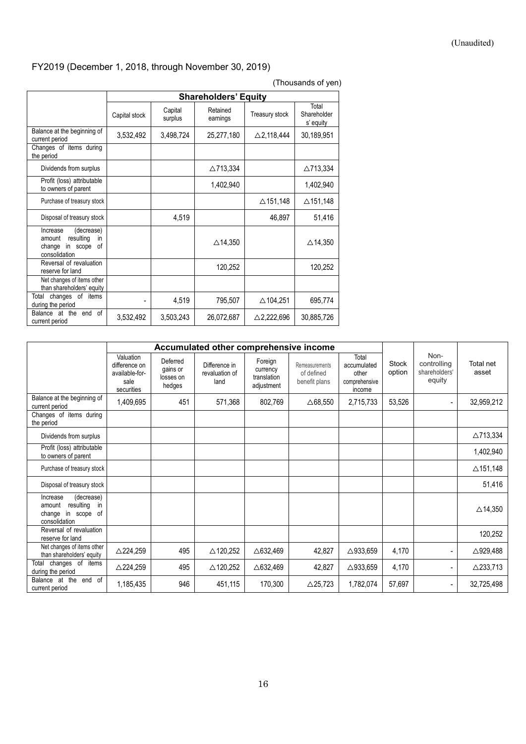#### (Unaudited)

## <span id="page-15-0"></span>FY2019 (December 1, 2018, through November 30, 2019)

|                                                                                                   | <b>Shareholders' Equity</b> |                    |                      |                       |                                   |  |  |  |
|---------------------------------------------------------------------------------------------------|-----------------------------|--------------------|----------------------|-----------------------|-----------------------------------|--|--|--|
|                                                                                                   | Capital stock               | Capital<br>surplus | Retained<br>earnings | Treasury stock        | Total<br>Shareholder<br>s' equity |  |  |  |
| Balance at the beginning of<br>current period                                                     | 3,532,492                   | 3,498,724          | 25,277,180           | $\triangle$ 2,118,444 | 30,189,951                        |  |  |  |
| Changes of items during<br>the period                                                             |                             |                    |                      |                       |                                   |  |  |  |
| Dividends from surplus                                                                            |                             |                    | △713,334             |                       | △713,334                          |  |  |  |
| Profit (loss) attributable<br>to owners of parent                                                 |                             |                    | 1,402,940            |                       | 1,402,940                         |  |  |  |
| Purchase of treasury stock                                                                        |                             |                    |                      | $\triangle$ 151,148   | $\triangle$ 151,148               |  |  |  |
| Disposal of treasury stock                                                                        |                             | 4,519              |                      | 46,897                | 51,416                            |  |  |  |
| (decrease)<br>Increase<br>resulting<br>amount<br>in.<br>0f<br>change<br>in scope<br>consolidation |                             |                    | $\triangle$ 14,350   |                       | $\triangle$ 14,350                |  |  |  |
| Reversal of revaluation<br>reserve for land                                                       |                             |                    | 120,252              |                       | 120,252                           |  |  |  |
| Net changes of items other<br>than shareholders' equity                                           |                             |                    |                      |                       |                                   |  |  |  |
| Total<br>changes of items<br>during the period                                                    |                             | 4,519              | 795,507              | △104,251              | 695,774                           |  |  |  |
| of<br>Balance at the end<br>current period                                                        | 3,532,492                   | 3,503,243          | 26,072,687           | $\triangle$ 2,222,696 | 30,885,726                        |  |  |  |

|                                                                                            | Accumulated other comprehensive income                             |                                             |                                         |                                                  |                                               |                                                          |                        |                                                |                     |
|--------------------------------------------------------------------------------------------|--------------------------------------------------------------------|---------------------------------------------|-----------------------------------------|--------------------------------------------------|-----------------------------------------------|----------------------------------------------------------|------------------------|------------------------------------------------|---------------------|
|                                                                                            | Valuation<br>difference on<br>available-for-<br>sale<br>securities | Deferred<br>gains or<br>losses on<br>hedges | Difference in<br>revaluation of<br>land | Foreign<br>currency<br>translation<br>adjustment | Remeasurements<br>of defined<br>benefit plans | Total<br>accumulated<br>other<br>comprehensive<br>income | <b>Stock</b><br>option | Non-<br>controlling<br>shareholders'<br>equity | Total net<br>asset  |
| Balance at the beginning of<br>current period                                              | 1,409,695                                                          | 451                                         | 571,368                                 | 802,769                                          | $\triangle$ 68,550                            | 2,715,733                                                | 53,526                 |                                                | 32,959,212          |
| Changes of items during<br>the period                                                      |                                                                    |                                             |                                         |                                                  |                                               |                                                          |                        |                                                |                     |
| Dividends from surplus                                                                     |                                                                    |                                             |                                         |                                                  |                                               |                                                          |                        |                                                | △713,334            |
| Profit (loss) attributable<br>to owners of parent                                          |                                                                    |                                             |                                         |                                                  |                                               |                                                          |                        |                                                | 1,402,940           |
| Purchase of treasury stock                                                                 |                                                                    |                                             |                                         |                                                  |                                               |                                                          |                        |                                                | $\triangle$ 151,148 |
| Disposal of treasury stock                                                                 |                                                                    |                                             |                                         |                                                  |                                               |                                                          |                        |                                                | 51,416              |
| (decrease)<br>Increase<br>resulting<br>in<br>amount<br>change in scope of<br>consolidation |                                                                    |                                             |                                         |                                                  |                                               |                                                          |                        |                                                | $\triangle$ 14,350  |
| Reversal of revaluation<br>reserve for land                                                |                                                                    |                                             |                                         |                                                  |                                               |                                                          |                        |                                                | 120,252             |
| Net changes of items other<br>than shareholders' equity                                    | $\triangle$ 224,259                                                | 495                                         | $\triangle$ 120,252                     | $\triangle$ 632,469                              | 42,827                                        | △933,659                                                 | 4,170                  |                                                | $\triangle$ 929,488 |
| changes of<br>items<br>Total<br>during the period                                          | $\triangle$ 224,259                                                | 495                                         | $\triangle$ 120,252                     | $\triangle$ 632,469                              | 42,827                                        | $\triangle$ 933,659                                      | 4,170                  |                                                | $\triangle$ 233,713 |
| Balance at the end of<br>current period                                                    | 1,185,435                                                          | 946                                         | 451,115                                 | 170,300                                          | $\triangle$ 25,723                            | 1,782,074                                                | 57,697                 |                                                | 32,725,498          |

### (Thousands of yen)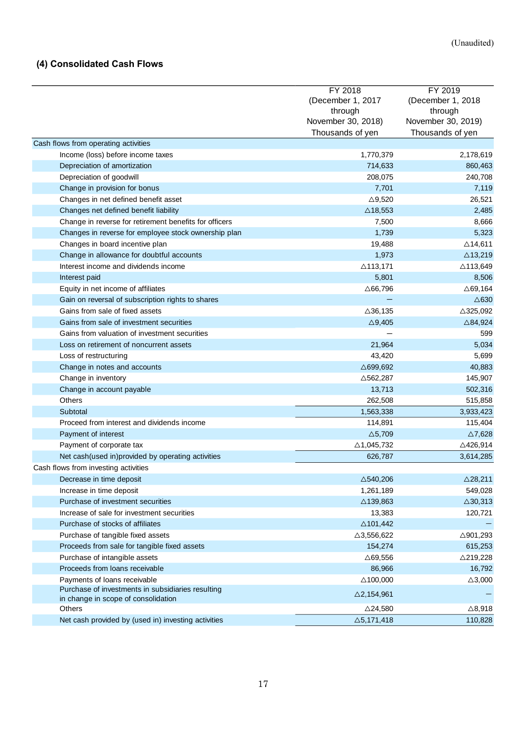## **(4) Consolidated Cash Flows**

|                                                        | FY 2018               | FY 2019             |
|--------------------------------------------------------|-----------------------|---------------------|
|                                                        | (December 1, 2017     | (December 1, 2018   |
|                                                        | through               | through             |
|                                                        | November 30, 2018)    | November 30, 2019)  |
|                                                        | Thousands of yen      | Thousands of yen    |
| Cash flows from operating activities                   |                       |                     |
| Income (loss) before income taxes                      | 1,770,379             | 2,178,619           |
| Depreciation of amortization                           | 714,633               | 860,463             |
| Depreciation of goodwill                               | 208,075               | 240,708             |
| Change in provision for bonus                          | 7,701                 | 7,119               |
| Changes in net defined benefit asset                   | $\triangle$ 9,520     | 26,521              |
| Changes net defined benefit liability                  | $\triangle$ 18,553    | 2,485               |
| Change in reverse for retirement benefits for officers | 7,500                 | 8,666               |
| Changes in reverse for employee stock ownership plan   | 1,739                 | 5,323               |
| Changes in board incentive plan                        | 19,488                | $\triangle$ 14,611  |
| Change in allowance for doubtful accounts              | 1,973                 | $\triangle$ 13,219  |
| Interest income and dividends income                   |                       | △113,649            |
|                                                        | $\triangle$ 113,171   |                     |
| Interest paid                                          | 5,801                 | 8,506               |
| Equity in net income of affiliates                     | $\triangle$ 66,796    | $\triangle$ 69,164  |
| Gain on reversal of subscription rights to shares      |                       | $\triangle$ 630     |
| Gains from sale of fixed assets                        | $\triangle$ 36,135    | $\triangle$ 325,092 |
| Gains from sale of investment securities               | $\triangle$ 9,405     | $\triangle$ 84,924  |
| Gains from valuation of investment securities          |                       | 599                 |
| Loss on retirement of noncurrent assets                | 21,964                | 5,034               |
| Loss of restructuring                                  | 43,420                | 5,699               |
| Change in notes and accounts                           | $\triangle$ 699,692   | 40,883              |
| Change in inventory                                    | $\triangle$ 562,287   | 145,907             |
| Change in account payable                              | 13,713                | 502,316             |
| Others                                                 | 262,508               | 515,858             |
| Subtotal                                               | 1,563,338             | 3,933,423           |
| Proceed from interest and dividends income             | 114,891               | 115,404             |
| Payment of interest                                    | $\triangle$ 5,709     | $\triangle$ 7,628   |
| Payment of corporate tax                               | $\triangle$ 1,045,732 | $\triangle$ 426,914 |
| Net cash(used in) provided by operating activities     | 626,787               | 3,614,285           |
| Cash flows from investing activities                   |                       |                     |
| Decrease in time deposit                               | $\triangle$ 540,206   | $\triangle$ 28,211  |
| Increase in time deposit                               | 1,261,189             | 549,028             |
| Purchase of investment securities                      | △139,863              | $\triangle$ 30,313  |
| Increase of sale for investment securities             | 13,383                | 120,721             |
| Purchase of stocks of affiliates                       | $\triangle$ 101,442   |                     |
| Purchase of tangible fixed assets                      | $\triangle 3,556,622$ | △901,293            |
| Proceeds from sale for tangible fixed assets           | 154,274               | 615,253             |
| Purchase of intangible assets                          | $\triangle$ 69,556    | $\triangle$ 219,228 |
| Proceeds from loans receivable                         | 86,966                | 16,792              |
| Payments of loans receivable                           | $\triangle$ 100,000   | $\triangle$ 3,000   |
| Purchase of investments in subsidiaries resulting      |                       |                     |
| in change in scope of consolidation                    | $\triangle$ 2,154,961 |                     |
| Others                                                 | $\triangle$ 24,580    | $\triangle$ 8,918   |
| Net cash provided by (used in) investing activities    | $\triangle$ 5,171,418 | 110,828             |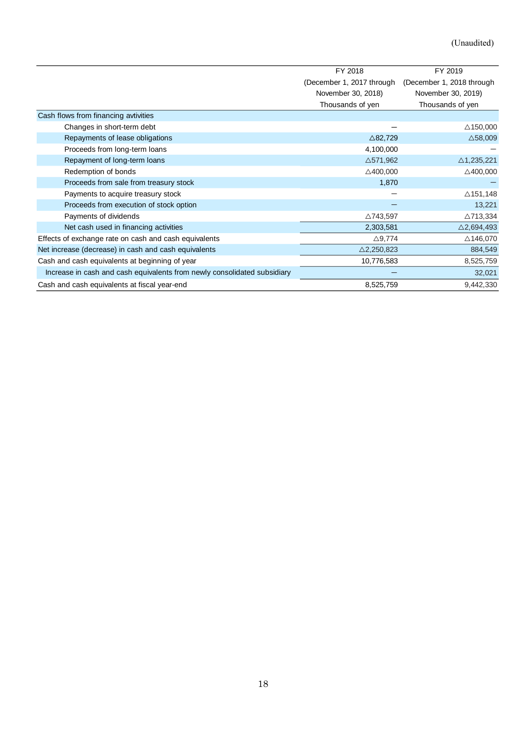<span id="page-17-0"></span>

|                                                                          | FY 2018                   | FY 2019                   |
|--------------------------------------------------------------------------|---------------------------|---------------------------|
|                                                                          | (December 1, 2017 through | (December 1, 2018 through |
|                                                                          | November 30, 2018)        | November 30, 2019)        |
|                                                                          | Thousands of yen          | Thousands of yen          |
| Cash flows from financing avtivities                                     |                           |                           |
| Changes in short-term debt                                               |                           | $\triangle$ 150,000       |
| Repayments of lease obligations                                          | $\triangle$ 82,729        | $\triangle$ 58,009        |
| Proceeds from long-term loans                                            | 4,100,000                 |                           |
| Repayment of long-term loans                                             | $\triangle$ 571,962       | $\triangle$ 1,235,221     |
| Redemption of bonds                                                      | $\triangle 400,000$       | $\triangle$ 400,000       |
| Proceeds from sale from treasury stock                                   | 1,870                     |                           |
| Payments to acquire treasury stock                                       |                           | $\triangle$ 151,148       |
| Proceeds from execution of stock option                                  |                           | 13,221                    |
| Payments of dividends                                                    | △743,597                  | $\triangle$ 713,334       |
| Net cash used in financing activities                                    | 2,303,581                 | $\triangle$ 2,694,493     |
| Effects of exchange rate on cash and cash equivalents                    | $\triangle$ 9,774         | $\triangle$ 146,070       |
| Net increase (decrease) in cash and cash equivalents                     | $\triangle$ 2,250,823     | 884,549                   |
| Cash and cash equivalents at beginning of year                           | 10,776,583                | 8,525,759                 |
| Increase in cash and cash equivalents from newly consolidated subsidiary |                           | 32,021                    |
| Cash and cash equivalents at fiscal year-end                             | 8,525,759                 | 9,442,330                 |
|                                                                          |                           |                           |
|                                                                          |                           |                           |
|                                                                          |                           |                           |
| 18                                                                       |                           |                           |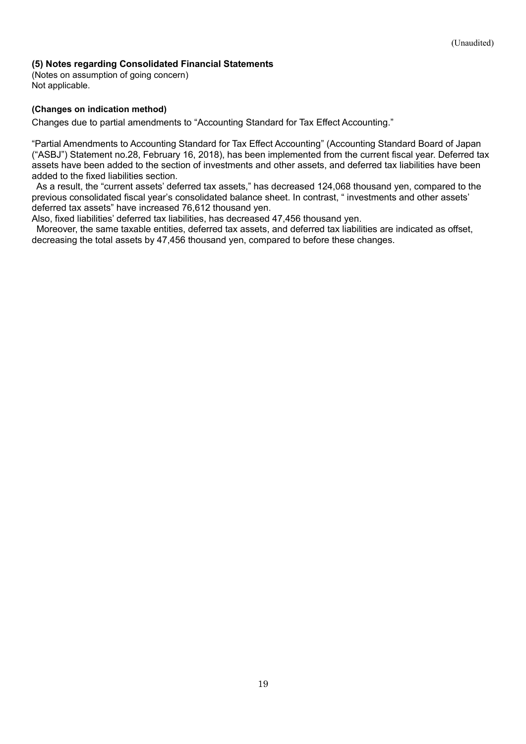### <span id="page-18-2"></span>**(5) Notes regarding Consolidated Financial Statements**

<span id="page-18-0"></span>(Notes on assumption of going concern) Not applicable.

### <span id="page-18-1"></span>**(Changes on indication method)**

Changes due to partial amendments to "Accounting Standard for Tax Effect Accounting."

"Partial Amendments to Accounting Standard for Tax Effect Accounting" (Accounting Standard Board of Japan ("ASBJ") Statement no.28, February 16, 2018), has been implemented from the current fiscal year. Deferred tax assets have been added to the section of investments and other assets, and deferred tax liabilities have been added to the fixed liabilities section.

As a result, the "current assets' deferred tax assets," has decreased 124,068 thousand yen, compared to the previous consolidated fiscal year's consolidated balance sheet. In contrast, " investments and other assets' deferred tax assets" have increased 76,612 thousand yen.

Also, fixed liabilities' deferred tax liabilities, has decreased 47,456 thousand yen.

Moreover, the same taxable entities, deferred tax assets, and deferred tax liabilities are indicated as offset, decreasing the total assets by 47,456 thousand yen, compared to before these changes.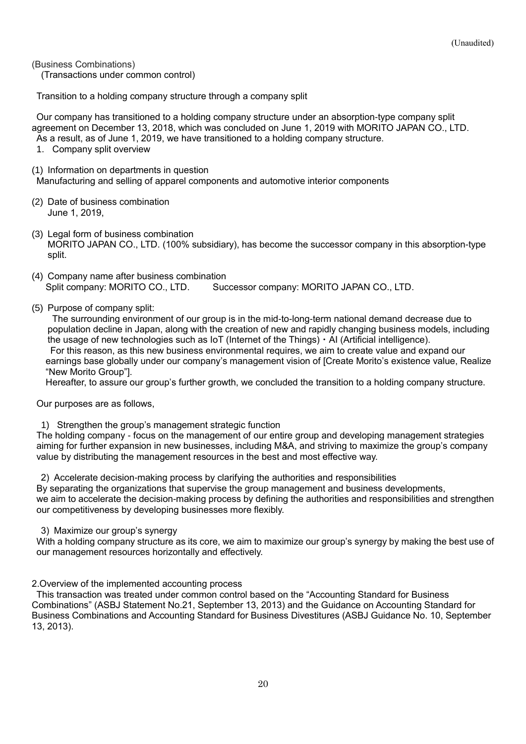(Business Combinations)

(Transactions under common control)

Transition to a holding company structure through a company split

Our company has transitioned to a holding company structure under an absorption-type company split agreement on December 13, 2018, which was concluded on June 1, 2019 with MORITO JAPAN CO., LTD. As a result, as of June 1, 2019, we have transitioned to a holding company structure.

1. Company split overview

(1) Information on departments in question

Manufacturing and selling of apparel components and automotive interior components

- (2) Date of business combination June 1, 2019,
- (3) Legal form of business combination MORITO JAPAN CO., LTD. (100% subsidiary), has become the successor company in this absorption-type split.
- (4) Company name after business combination Split company: MORITO CO., LTD. Successor company: MORITO JAPAN CO., LTD.
- (5) Purpose of company split:

The surrounding environment of our group is in the mid-to-long-term national demand decrease due to population decline in Japan, along with the creation of new and rapidly changing business models, including the usage of new technologies such as IoT (Internet of the Things)・AI (Artificial intelligence). For this reason, as this new business environmental requires, we aim to create value and expand our earnings base globally under our company's management vision of [Create Morito's existence value, Realize "New Morito Group"].

Hereafter, to assure our group's further growth, we concluded the transition to a holding company structure.

Our purposes are as follows,

1) Strengthen the group's management strategic function

The holding company - focus on the management of our entire group and developing management strategies aiming for further expansion in new businesses, including M&A, and striving to maximize the group's company value by distributing the management resources in the best and most effective way.

2) Accelerate decision-making process by clarifying the authorities and responsibilities

By separating the organizations that supervise the group management and business developments,

we aim to accelerate the decision-making process by defining the authorities and responsibilities and strengthen our competitiveness by developing businesses more flexibly.

3) Maximize our group's synergy

With a holding company structure as its core, we aim to maximize our group's synergy by making the best use of our management resources horizontally and effectively.

2.Overview of the implemented accounting process

This transaction was treated under common control based on the "Accounting Standard for Business Combinations" (ASBJ Statement No.21, September 13, 2013) and the Guidance on Accounting Standard for Business Combinations and Accounting Standard for Business Divestitures (ASBJ Guidance No. 10, September 13, 2013).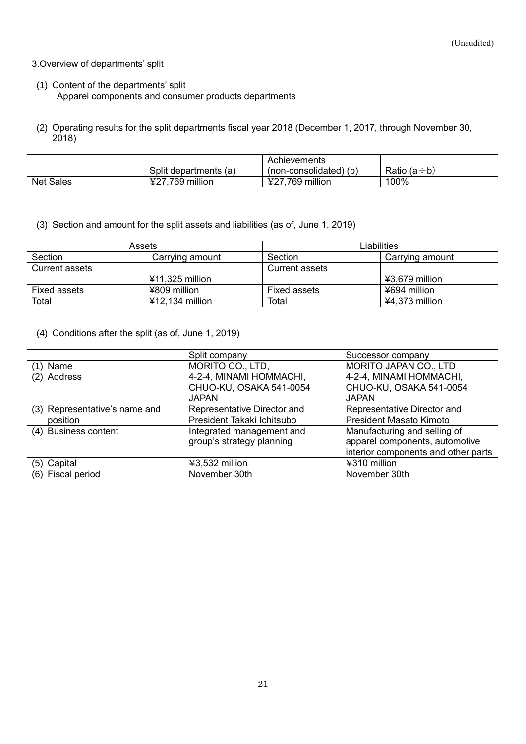### <span id="page-20-0"></span>3.Overview of departments' split

- (1) Content of the departments' split Apparel components and consumer products departments
- (2) Operating results for the split departments fiscal year 2018 (December 1, 2017, through November 30,  $2018$

|                  |                                 | Achievements                        |                        |
|------------------|---------------------------------|-------------------------------------|------------------------|
|                  | Split departments (a)           | (non-consolidated) (b)              | Ratio (a $\div$<br>÷b) |
| <b>Net Sales</b> | million<br>769.<br>3707<br>9£ I | million<br><u>רדד</u><br>.769<br>ŦΖ | 100%                   |

(3) Section and amount for the split assets and liabilities (as of, June 1, 2019)

| Assets         |                   | Liabilities    |                  |  |
|----------------|-------------------|----------------|------------------|--|
| Section        | Carrying amount   | Section        | Carrying amount  |  |
| Current assets |                   | Current assets |                  |  |
|                | ¥11,325 million   |                | ¥3,679 million   |  |
| Fixed assets   | ¥809 million      | Fixed assets   | ¥694 million     |  |
| Total          | $412,134$ million | Total          | $44,373$ million |  |

(4) Conditions after the split (as of, June 1, 2019)

|                               | Split company               | Successor company                   |
|-------------------------------|-----------------------------|-------------------------------------|
| $(1)$ Name                    | MORITO CO., LTD,            | MORITO JAPAN CO., LTD               |
| (2) Address                   | 4-2-4, MINAMI HOMMACHI,     | 4-2-4, MINAMI HOMMACHI,             |
|                               | CHUO-KU, OSAKA 541-0054     | CHUO-KU, OSAKA 541-0054             |
|                               | <b>JAPAN</b>                | <b>JAPAN</b>                        |
| (3) Representative's name and | Representative Director and | Representative Director and         |
| position                      | President Takaki Ichitsubo  | President Masato Kimoto             |
| (4) Business content          | Integrated management and   | Manufacturing and selling of        |
|                               | group's strategy planning   | apparel components, automotive      |
|                               |                             | interior components and other parts |
| (5) Capital                   | ¥3,532 million              | ¥310 million                        |
| (6) Fiscal period             | November 30th               | November 30th                       |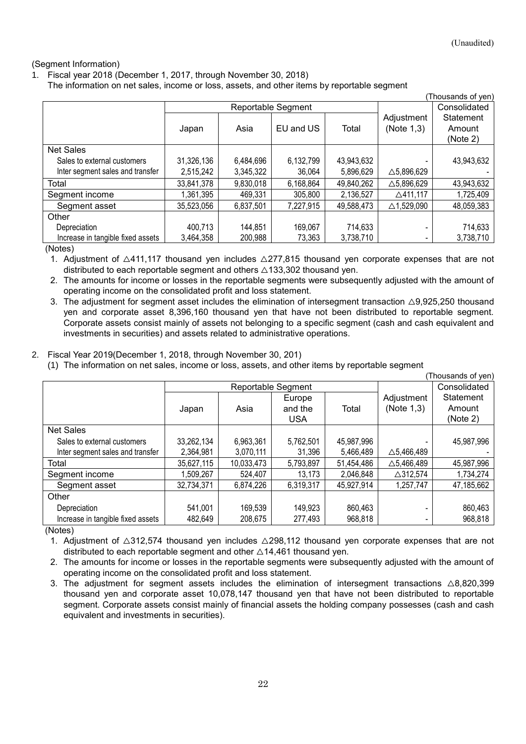### (Segment Information)

1. Fiscal year 2018 (December 1, 2017, through November 30, 2018)

The information on net sales, income or loss, assets, and other items by reportable segment

| (Thousands of yen)                |                    |           |           |            |                       |              |
|-----------------------------------|--------------------|-----------|-----------|------------|-----------------------|--------------|
|                                   | Reportable Segment |           |           |            |                       | Consolidated |
|                                   |                    |           |           |            | Adjustment            | Statement    |
|                                   | Japan              | Asia      | EU and US | Total      | (Note 1,3)            | Amount       |
|                                   |                    |           |           |            |                       | (Note 2)     |
| <b>Net Sales</b>                  |                    |           |           |            |                       |              |
| Sales to external customers       | 31,326,136         | 6,484,696 | 6,132,799 | 43,943,632 |                       | 43,943,632   |
| Inter segment sales and transfer  | 2,515,242          | 3,345,322 | 36,064    | 5,896,629  | $\triangle$ 5,896,629 |              |
| Total                             | 33,841,378         | 9,830,018 | 6,168,864 | 49,840,262 | $\triangle$ 5,896,629 | 43,943,632   |
| Segment income                    | 1,361,395          | 469,331   | 305,800   | 2,136,527  | △411,117              | 1,725,409    |
| Segment asset                     | 35,523,056         | 6,837,501 | 7,227,915 | 49,588,473 | $\triangle$ 1,529,090 | 48,059,383   |
| Other                             |                    |           |           |            |                       |              |
| Depreciation                      | 400,713            | 144,851   | 169,067   | 714,633    |                       | 714,633      |
| Increase in tangible fixed assets | 3,464,358          | 200,988   | 73,363    | 3,738,710  |                       | 3,738,710    |

(Notes)

1. Adjustment of △411,117 thousand yen includes △277,815 thousand yen corporate expenses that are not distributed to each reportable segment and others  $\triangle$ 133,302 thousand yen.

2. The amounts for income or losses in the reportable segments were subsequently adjusted with the amount of operating income on the consolidated profit and loss statement.

3. The adjustment for segment asset includes the elimination of intersegment transaction  $\triangle$ 9,925,250 thousand yen and corporate asset 8,396,160 thousand yen that have not been distributed to reportable segment. Corporate assets consist mainly of assets not belonging to a specific segment (cash and cash equivalent and investments in securities) and assets related to administrative operations.

### 2. Fiscal Year 2019(December 1, 2018, through November 30, 201)

(1) The information on net sales, income or loss, assets, and other items by reportable segment

|                                   |                    |            |            |            |                       | Thousands of yen) |
|-----------------------------------|--------------------|------------|------------|------------|-----------------------|-------------------|
|                                   | Reportable Segment |            |            |            |                       | Consolidated      |
|                                   |                    |            | Europe     |            | Adjustment            | Statement         |
|                                   | Japan              | Asia       | and the    | Total      | (Note 1,3)            | Amount            |
|                                   |                    |            | <b>USA</b> |            |                       | (Note 2)          |
| <b>Net Sales</b>                  |                    |            |            |            |                       |                   |
| Sales to external customers       | 33,262,134         | 6,963,361  | 5,762,501  | 45,987,996 |                       | 45,987,996        |
| Inter segment sales and transfer  | 2,364,981          | 3,070,111  | 31,396     | 5,466,489  | $\triangle$ 5,466,489 |                   |
| Total                             | 35,627,115         | 10,033,473 | 5,793,897  | 51,454,486 | $\triangle$ 5,466,489 | 45,987,996        |
| Segment income                    | 1,509,267          | 524,407    | 13,173     | 2,046,848  | $\triangle$ 312,574   | 1,734,274         |
| Segment asset                     | 32,734,371         | 6,874,226  | 6,319,317  | 45,927,914 | 1,257,747             | 47,185,662        |
| Other                             |                    |            |            |            |                       |                   |
| Depreciation                      | 541,001            | 169,539    | 149,923    | 860,463    |                       | 860,463           |
| Increase in tangible fixed assets | 482,649            | 208,675    | 277,493    | 968,818    |                       | 968,818           |

(Notes)

1. Adjustment of △312,574 thousand yen includes △298,112 thousand yen corporate expenses that are not distributed to each reportable segment and other  $\triangle$ 14,461 thousand yen.

2. The amounts for income or losses in the reportable segments were subsequently adjusted with the amount of operating income on the consolidated profit and loss statement.

3. The adjustment for segment assets includes the elimination of intersegment transactions  $\triangle 8,820,399$ thousand yen and corporate asset 10,078,147 thousand yen that have not been distributed to reportable segment. Corporate assets consist mainly of financial assets the holding company possesses (cash and cash equivalent and investments in securities).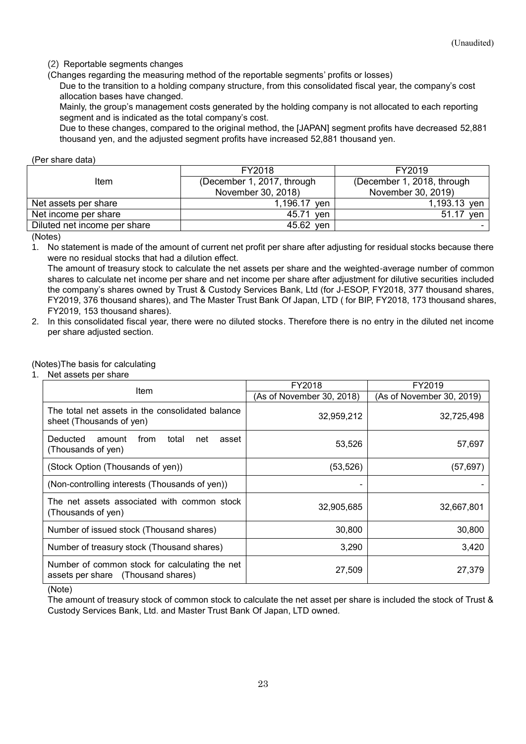(2) Reportable segments changes

(Changes regarding the measuring method of the reportable segments' profits or losses)

Due to the transition to a holding company structure, from this consolidated fiscal year, the company's cost allocation bases have changed.

Mainly, the group's management costs generated by the holding company is not allocated to each reporting segment and is indicated as the total company's cost.

Due to these changes, compared to the original method, the [JAPAN] segment profits have decreased 52,881 thousand yen, and the adjusted segment profits have increased 52,881 thousand yen.

#### <span id="page-22-0"></span>(Per share data)

|                              | FY2018                     | FY2019                     |  |
|------------------------------|----------------------------|----------------------------|--|
| Item                         | (December 1, 2017, through | (December 1, 2018, through |  |
|                              | November 30, 2018)         | November 30, 2019)         |  |
| Net assets per share         | 1,196.17<br>ven            | 1,193.13 yen               |  |
| Net income per share         | 45.71<br>ven               | 51.17<br>ven               |  |
| Diluted net income per share | 45.62<br>ven               |                            |  |

(Notes)

1. No statement is made of the amount of current net profit per share after adjusting for residual stocks because there were no residual stocks that had a dilution effect.

The amount of treasury stock to calculate the net assets per share and the weighted-average number of common shares to calculate net income per share and net income per share after adjustment for dilutive securities included the company's shares owned by Trust & Custody Services Bank, Ltd (for J-ESOP, FY2018, 377 thousand shares, FY2019, 376 thousand shares), and The Master Trust Bank Of Japan, LTD ( for BIP, FY2018, 173 thousand shares, FY2019, 153 thousand shares).

2. In this consolidated fiscal year, there were no diluted stocks. Therefore there is no entry in the diluted net income per share adjusted section.

#### (Notes)The basis for calculating

1. Net assets per share

| Item                                                                                 | FY2018                    | FY2019                    |  |
|--------------------------------------------------------------------------------------|---------------------------|---------------------------|--|
|                                                                                      | (As of November 30, 2018) | (As of November 30, 2019) |  |
| The total net assets in the consolidated balance<br>sheet (Thousands of yen)         | 32,959,212                | 32,725,498                |  |
| Deducted<br>total<br>amount<br>from<br>asset<br>net<br>(Thousands of yen)            | 53,526                    | 57,697                    |  |
| (Stock Option (Thousands of yen))                                                    | (53, 526)                 | (57,697)                  |  |
| (Non-controlling interests (Thousands of yen))                                       |                           |                           |  |
| The net assets associated with common stock<br>(Thousands of yen)                    | 32,905,685                | 32,667,801                |  |
| Number of issued stock (Thousand shares)                                             | 30,800                    | 30,800                    |  |
| Number of treasury stock (Thousand shares)                                           | 3,290                     | 3,420                     |  |
| Number of common stock for calculating the net<br>assets per share (Thousand shares) | 27,509                    | 27,379                    |  |

(Note)

The amount of treasury stock of common stock to calculate the net asset per share is included the stock of Trust & Custody Services Bank, Ltd. and Master Trust Bank Of Japan, LTD owned.